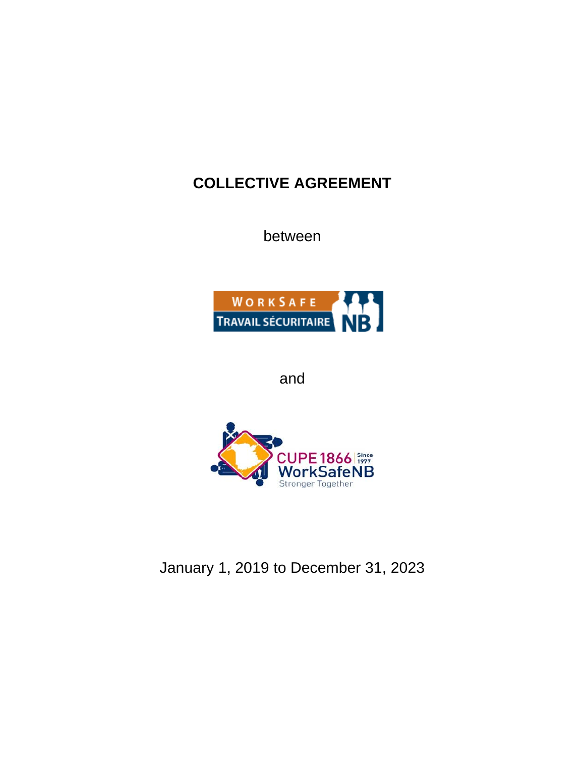# **COLLECTIVE AGREEMENT**

between



and



January 1, 2019 to December 31, 2023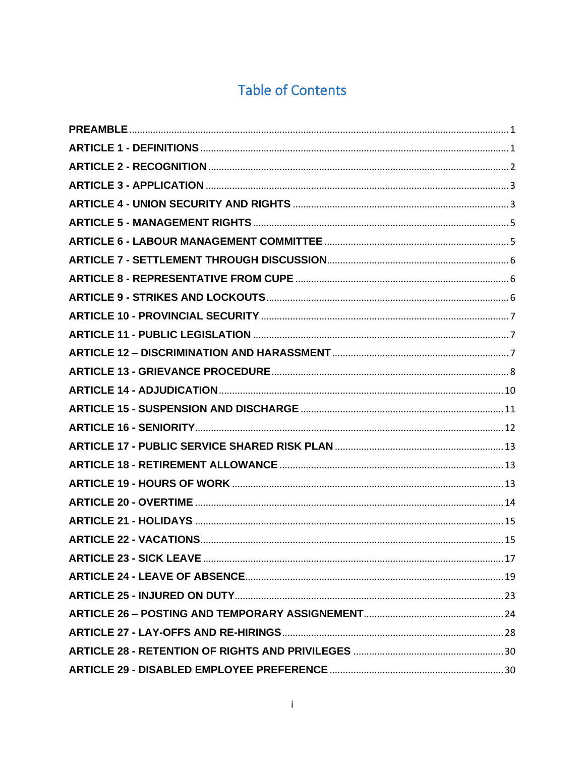# **Table of Contents**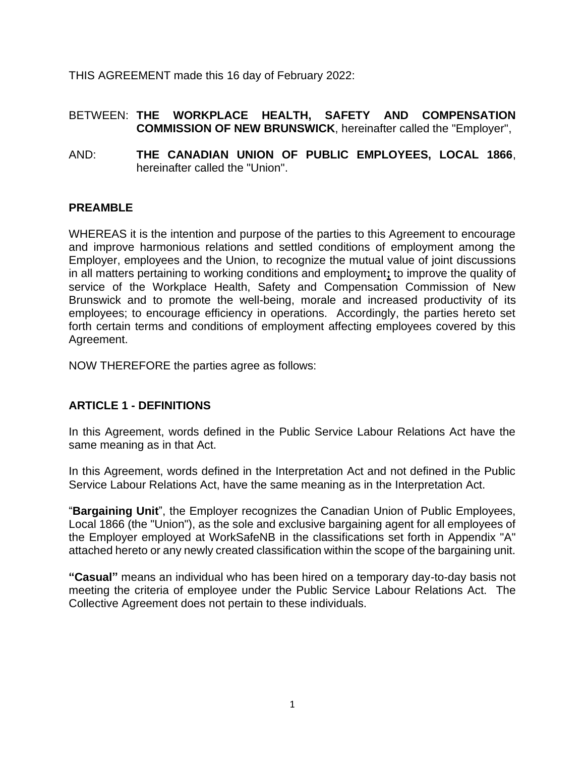THIS AGREEMENT made this 16 day of February 2022:

#### BETWEEN: **THE WORKPLACE HEALTH, SAFETY AND COMPENSATION COMMISSION OF NEW BRUNSWICK**, hereinafter called the "Employer",

AND: **THE CANADIAN UNION OF PUBLIC EMPLOYEES, LOCAL 1866**, hereinafter called the "Union".

### <span id="page-3-0"></span>**PREAMBLE**

WHEREAS it is the intention and purpose of the parties to this Agreement to encourage and improve harmonious relations and settled conditions of employment among the Employer, employees and the Union, to recognize the mutual value of joint discussions in all matters pertaining to working conditions and employment**;** to improve the quality of service of the Workplace Health, Safety and Compensation Commission of New Brunswick and to promote the well-being, morale and increased productivity of its employees; to encourage efficiency in operations. Accordingly, the parties hereto set forth certain terms and conditions of employment affecting employees covered by this Agreement.

NOW THEREFORE the parties agree as follows:

### <span id="page-3-1"></span>**ARTICLE 1 - DEFINITIONS**

In this Agreement, words defined in the Public Service Labour Relations Act have the same meaning as in that Act.

In this Agreement, words defined in the Interpretation Act and not defined in the Public Service Labour Relations Act, have the same meaning as in the Interpretation Act.

"**Bargaining Unit**", the Employer recognizes the Canadian Union of Public Employees, Local 1866 (the "Union"), as the sole and exclusive bargaining agent for all employees of the Employer employed at WorkSafeNB in the classifications set forth in Appendix "A" attached hereto or any newly created classification within the scope of the bargaining unit.

**"Casual"** means an individual who has been hired on a temporary day-to-day basis not meeting the criteria of employee under the Public Service Labour Relations Act. The Collective Agreement does not pertain to these individuals.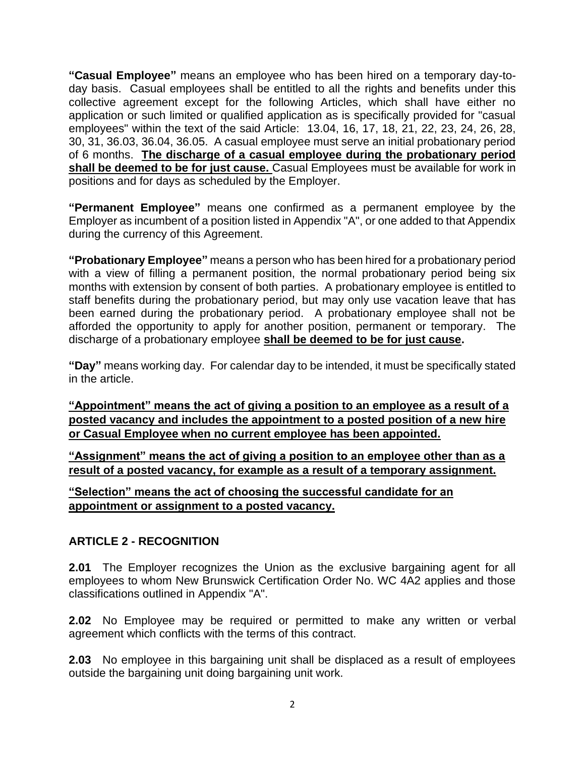**"Casual Employee"** means an employee who has been hired on a temporary day-today basis. Casual employees shall be entitled to all the rights and benefits under this collective agreement except for the following Articles, which shall have either no application or such limited or qualified application as is specifically provided for "casual employees" within the text of the said Article: 13.04, 16, 17, 18, 21, 22, 23, 24, 26, 28, 30, 31, 36.03, 36.04, 36.05. A casual employee must serve an initial probationary period of 6 months. **The discharge of a casual employee during the probationary period shall be deemed to be for just cause.** Casual Employees must be available for work in positions and for days as scheduled by the Employer.

**"Permanent Employee"** means one confirmed as a permanent employee by the Employer as incumbent of a position listed in Appendix "A", or one added to that Appendix during the currency of this Agreement.

**"Probationary Employee"** means a person who has been hired for a probationary period with a view of filling a permanent position, the normal probationary period being six months with extension by consent of both parties. A probationary employee is entitled to staff benefits during the probationary period, but may only use vacation leave that has been earned during the probationary period. A probationary employee shall not be afforded the opportunity to apply for another position, permanent or temporary. The discharge of a probationary employee **shall be deemed to be for just cause.**

**"Day"** means working day. For calendar day to be intended, it must be specifically stated in the article.

**"Appointment" means the act of giving a position to an employee as a result of a posted vacancy and includes the appointment to a posted position of a new hire or Casual Employee when no current employee has been appointed.**

**"Assignment" means the act of giving a position to an employee other than as a result of a posted vacancy, for example as a result of a temporary assignment.**

**"Selection" means the act of choosing the successful candidate for an appointment or assignment to a posted vacancy.**

## <span id="page-4-0"></span>**ARTICLE 2 - RECOGNITION**

**2.01** The Employer recognizes the Union as the exclusive bargaining agent for all employees to whom New Brunswick Certification Order No. WC 4A2 applies and those classifications outlined in Appendix "A".

**2.02** No Employee may be required or permitted to make any written or verbal agreement which conflicts with the terms of this contract.

**2.03** No employee in this bargaining unit shall be displaced as a result of employees outside the bargaining unit doing bargaining unit work.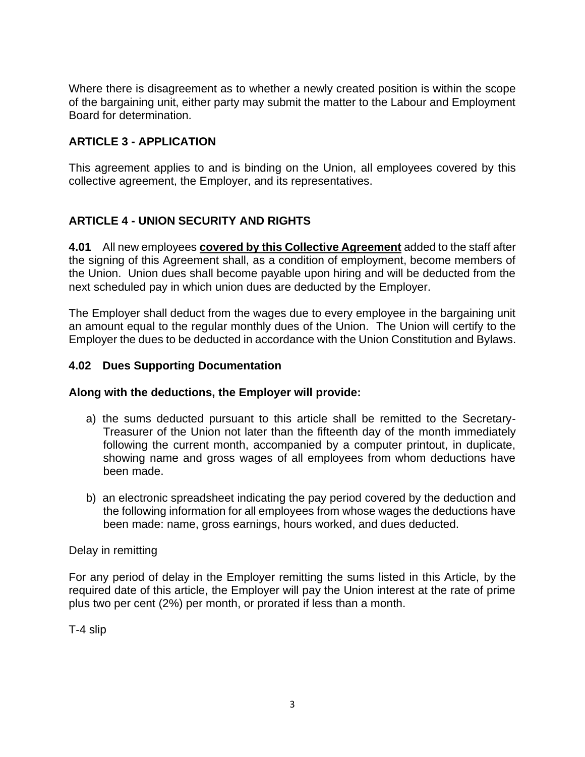Where there is disagreement as to whether a newly created position is within the scope of the bargaining unit, either party may submit the matter to the Labour and Employment Board for determination.

## <span id="page-5-0"></span>**ARTICLE 3 - APPLICATION**

This agreement applies to and is binding on the Union, all employees covered by this collective agreement, the Employer, and its representatives.

## <span id="page-5-1"></span>**ARTICLE 4 - UNION SECURITY AND RIGHTS**

**4.01** All new employees **covered by this Collective Agreement** added to the staff after the signing of this Agreement shall, as a condition of employment, become members of the Union. Union dues shall become payable upon hiring and will be deducted from the next scheduled pay in which union dues are deducted by the Employer.

The Employer shall deduct from the wages due to every employee in the bargaining unit an amount equal to the regular monthly dues of the Union. The Union will certify to the Employer the dues to be deducted in accordance with the Union Constitution and Bylaws.

#### **4.02 Dues Supporting Documentation**

#### **Along with the deductions, the Employer will provide:**

- a) the sums deducted pursuant to this article shall be remitted to the Secretary-Treasurer of the Union not later than the fifteenth day of the month immediately following the current month, accompanied by a computer printout, in duplicate, showing name and gross wages of all employees from whom deductions have been made.
- b) an electronic spreadsheet indicating the pay period covered by the deduction and the following information for all employees from whose wages the deductions have been made: name, gross earnings, hours worked, and dues deducted.

#### Delay in remitting

For any period of delay in the Employer remitting the sums listed in this Article, by the required date of this article, the Employer will pay the Union interest at the rate of prime plus two per cent (2%) per month, or prorated if less than a month.

T-4 slip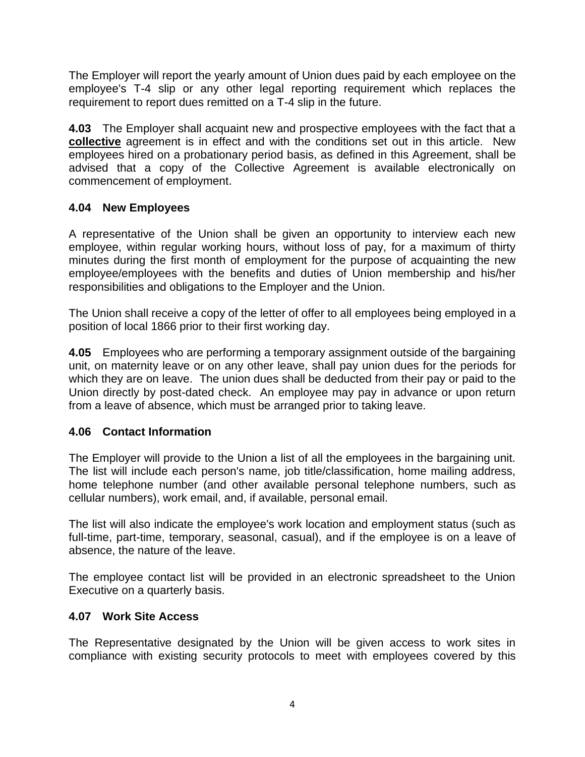The Employer will report the yearly amount of Union dues paid by each employee on the employee's T-4 slip or any other legal reporting requirement which replaces the requirement to report dues remitted on a T-4 slip in the future.

**4.03** The Employer shall acquaint new and prospective employees with the fact that a **collective** agreement is in effect and with the conditions set out in this article. New employees hired on a probationary period basis, as defined in this Agreement, shall be advised that a copy of the Collective Agreement is available electronically on commencement of employment.

## **4.04 New Employees**

A representative of the Union shall be given an opportunity to interview each new employee, within regular working hours, without loss of pay, for a maximum of thirty minutes during the first month of employment for the purpose of acquainting the new employee/employees with the benefits and duties of Union membership and his/her responsibilities and obligations to the Employer and the Union.

The Union shall receive a copy of the letter of offer to all employees being employed in a position of local 1866 prior to their first working day.

**4.05** Employees who are performing a temporary assignment outside of the bargaining unit, on maternity leave or on any other leave, shall pay union dues for the periods for which they are on leave. The union dues shall be deducted from their pay or paid to the Union directly by post-dated check. An employee may pay in advance or upon return from a leave of absence, which must be arranged prior to taking leave.

### **4.06 Contact Information**

The Employer will provide to the Union a list of all the employees in the bargaining unit. The list will include each person's name, job title/classification, home mailing address, home telephone number (and other available personal telephone numbers, such as cellular numbers), work email, and, if available, personal email.

The list will also indicate the employee's work location and employment status (such as full-time, part-time, temporary, seasonal, casual), and if the employee is on a leave of absence, the nature of the leave.

The employee contact list will be provided in an electronic spreadsheet to the Union Executive on a quarterly basis.

### **4.07 Work Site Access**

The Representative designated by the Union will be given access to work sites in compliance with existing security protocols to meet with employees covered by this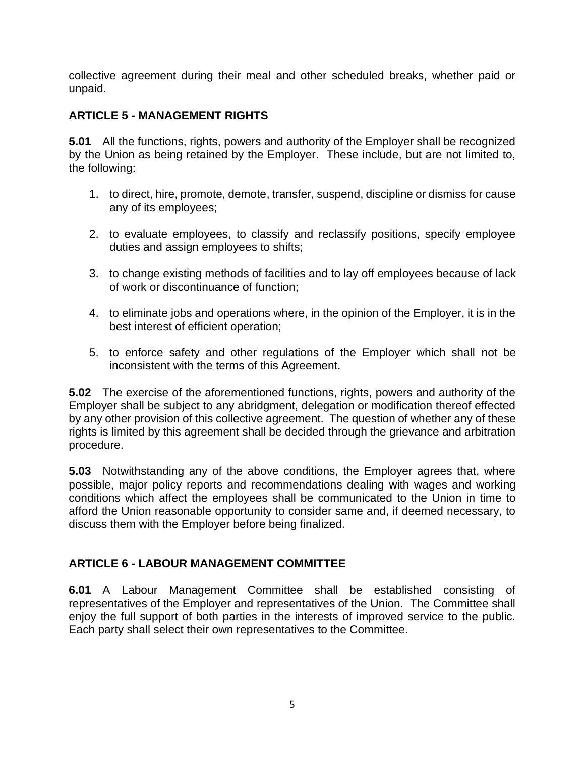collective agreement during their meal and other scheduled breaks, whether paid or unpaid.

## <span id="page-7-0"></span>**ARTICLE 5 - MANAGEMENT RIGHTS**

**5.01** All the functions, rights, powers and authority of the Employer shall be recognized by the Union as being retained by the Employer. These include, but are not limited to, the following:

- 1. to direct, hire, promote, demote, transfer, suspend, discipline or dismiss for cause any of its employees;
- 2. to evaluate employees, to classify and reclassify positions, specify employee duties and assign employees to shifts;
- 3. to change existing methods of facilities and to lay off employees because of lack of work or discontinuance of function;
- 4. to eliminate jobs and operations where, in the opinion of the Employer, it is in the best interest of efficient operation;
- 5. to enforce safety and other regulations of the Employer which shall not be inconsistent with the terms of this Agreement.

**5.02** The exercise of the aforementioned functions, rights, powers and authority of the Employer shall be subject to any abridgment, delegation or modification thereof effected by any other provision of this collective agreement. The question of whether any of these rights is limited by this agreement shall be decided through the grievance and arbitration procedure.

**5.03** Notwithstanding any of the above conditions, the Employer agrees that, where possible, major policy reports and recommendations dealing with wages and working conditions which affect the employees shall be communicated to the Union in time to afford the Union reasonable opportunity to consider same and, if deemed necessary, to discuss them with the Employer before being finalized.

## <span id="page-7-1"></span>**ARTICLE 6 - LABOUR MANAGEMENT COMMITTEE**

**6.01** A Labour Management Committee shall be established consisting of representatives of the Employer and representatives of the Union. The Committee shall enjoy the full support of both parties in the interests of improved service to the public. Each party shall select their own representatives to the Committee.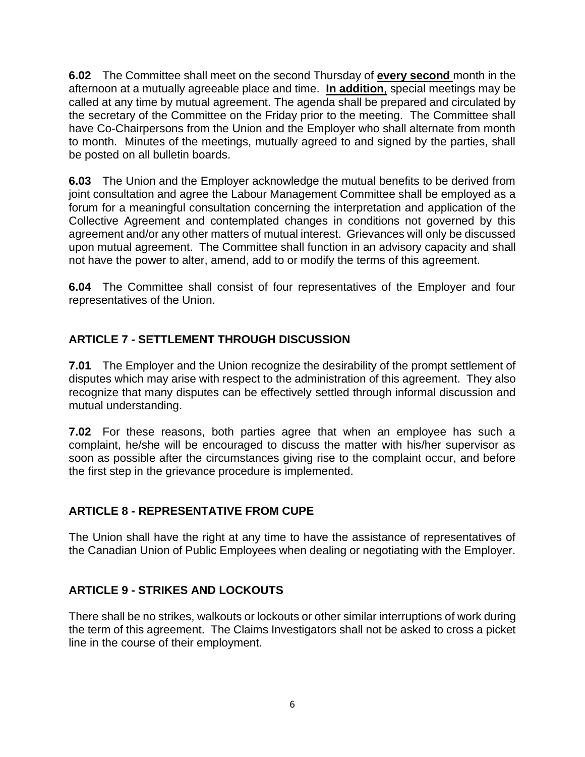**6.02** The Committee shall meet on the second Thursday of **every second** month in the afternoon at a mutually agreeable place and time. **In addition**, special meetings may be called at any time by mutual agreement. The agenda shall be prepared and circulated by the secretary of the Committee on the Friday prior to the meeting. The Committee shall have Co-Chairpersons from the Union and the Employer who shall alternate from month to month. Minutes of the meetings, mutually agreed to and signed by the parties, shall be posted on all bulletin boards.

**6.03** The Union and the Employer acknowledge the mutual benefits to be derived from joint consultation and agree the Labour Management Committee shall be employed as a forum for a meaningful consultation concerning the interpretation and application of the Collective Agreement and contemplated changes in conditions not governed by this agreement and/or any other matters of mutual interest. Grievances will only be discussed upon mutual agreement. The Committee shall function in an advisory capacity and shall not have the power to alter, amend, add to or modify the terms of this agreement.

**6.04** The Committee shall consist of four representatives of the Employer and four representatives of the Union.

## <span id="page-8-0"></span>**ARTICLE 7 - SETTLEMENT THROUGH DISCUSSION**

**7.01** The Employer and the Union recognize the desirability of the prompt settlement of disputes which may arise with respect to the administration of this agreement. They also recognize that many disputes can be effectively settled through informal discussion and mutual understanding.

**7.02** For these reasons, both parties agree that when an employee has such a complaint, he/she will be encouraged to discuss the matter with his/her supervisor as soon as possible after the circumstances giving rise to the complaint occur, and before the first step in the grievance procedure is implemented.

## <span id="page-8-1"></span>**ARTICLE 8 - REPRESENTATIVE FROM CUPE**

The Union shall have the right at any time to have the assistance of representatives of the Canadian Union of Public Employees when dealing or negotiating with the Employer.

## <span id="page-8-2"></span>**ARTICLE 9 - STRIKES AND LOCKOUTS**

There shall be no strikes, walkouts or lockouts or other similar interruptions of work during the term of this agreement. The Claims Investigators shall not be asked to cross a picket line in the course of their employment.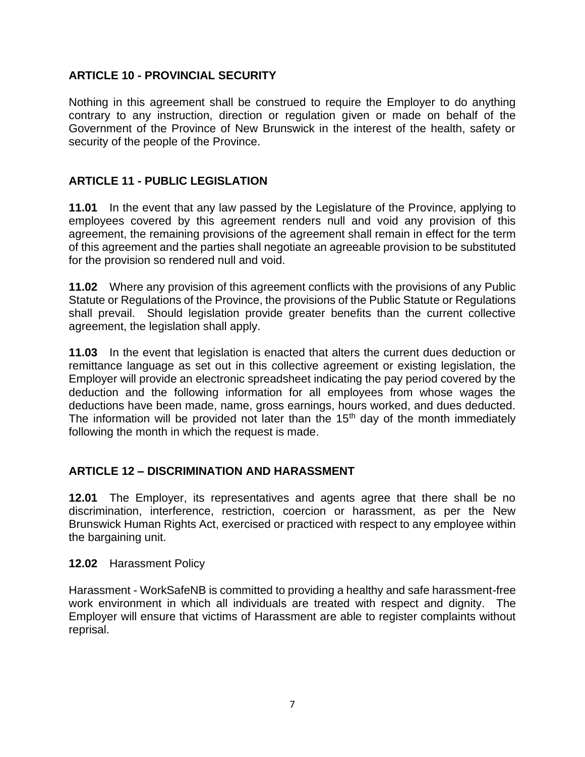### <span id="page-9-0"></span>**ARTICLE 10 - PROVINCIAL SECURITY**

Nothing in this agreement shall be construed to require the Employer to do anything contrary to any instruction, direction or regulation given or made on behalf of the Government of the Province of New Brunswick in the interest of the health, safety or security of the people of the Province.

#### <span id="page-9-1"></span>**ARTICLE 11 - PUBLIC LEGISLATION**

**11.01** In the event that any law passed by the Legislature of the Province, applying to employees covered by this agreement renders null and void any provision of this agreement, the remaining provisions of the agreement shall remain in effect for the term of this agreement and the parties shall negotiate an agreeable provision to be substituted for the provision so rendered null and void.

**11.02** Where any provision of this agreement conflicts with the provisions of any Public Statute or Regulations of the Province, the provisions of the Public Statute or Regulations shall prevail. Should legislation provide greater benefits than the current collective agreement, the legislation shall apply.

**11.03** In the event that legislation is enacted that alters the current dues deduction or remittance language as set out in this collective agreement or existing legislation, the Employer will provide an electronic spreadsheet indicating the pay period covered by the deduction and the following information for all employees from whose wages the deductions have been made, name, gross earnings, hours worked, and dues deducted. The information will be provided not later than the  $15<sup>th</sup>$  day of the month immediately following the month in which the request is made.

#### <span id="page-9-2"></span>**ARTICLE 12 – DISCRIMINATION AND HARASSMENT**

**12.01** The Employer, its representatives and agents agree that there shall be no discrimination, interference, restriction, coercion or harassment, as per the New Brunswick Human Rights Act, exercised or practiced with respect to any employee within the bargaining unit.

#### **12.02** Harassment Policy

Harassment - WorkSafeNB is committed to providing a healthy and safe harassment-free work environment in which all individuals are treated with respect and dignity. The Employer will ensure that victims of Harassment are able to register complaints without reprisal.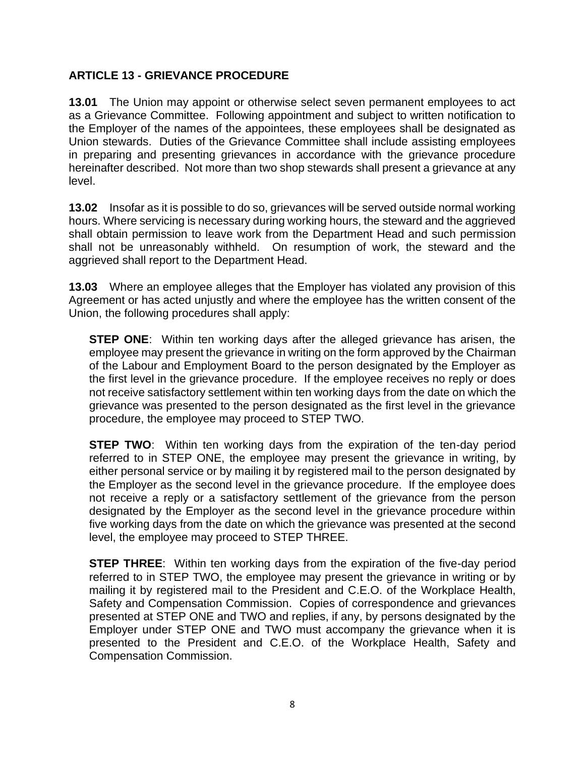## <span id="page-10-0"></span>**ARTICLE 13 - GRIEVANCE PROCEDURE**

**13.01** The Union may appoint or otherwise select seven permanent employees to act as a Grievance Committee. Following appointment and subject to written notification to the Employer of the names of the appointees, these employees shall be designated as Union stewards. Duties of the Grievance Committee shall include assisting employees in preparing and presenting grievances in accordance with the grievance procedure hereinafter described. Not more than two shop stewards shall present a grievance at any level.

**13.02** Insofar as it is possible to do so, grievances will be served outside normal working hours. Where servicing is necessary during working hours, the steward and the aggrieved shall obtain permission to leave work from the Department Head and such permission shall not be unreasonably withheld. On resumption of work, the steward and the aggrieved shall report to the Department Head.

**13.03** Where an employee alleges that the Employer has violated any provision of this Agreement or has acted unjustly and where the employee has the written consent of the Union, the following procedures shall apply:

**STEP ONE**: Within ten working days after the alleged grievance has arisen, the employee may present the grievance in writing on the form approved by the Chairman of the Labour and Employment Board to the person designated by the Employer as the first level in the grievance procedure. If the employee receives no reply or does not receive satisfactory settlement within ten working days from the date on which the grievance was presented to the person designated as the first level in the grievance procedure, the employee may proceed to STEP TWO.

**STEP TWO:** Within ten working days from the expiration of the ten-day period referred to in STEP ONE, the employee may present the grievance in writing, by either personal service or by mailing it by registered mail to the person designated by the Employer as the second level in the grievance procedure. If the employee does not receive a reply or a satisfactory settlement of the grievance from the person designated by the Employer as the second level in the grievance procedure within five working days from the date on which the grievance was presented at the second level, the employee may proceed to STEP THREE.

**STEP THREE**: Within ten working days from the expiration of the five-day period referred to in STEP TWO, the employee may present the grievance in writing or by mailing it by registered mail to the President and C.E.O. of the Workplace Health, Safety and Compensation Commission. Copies of correspondence and grievances presented at STEP ONE and TWO and replies, if any, by persons designated by the Employer under STEP ONE and TWO must accompany the grievance when it is presented to the President and C.E.O. of the Workplace Health, Safety and Compensation Commission.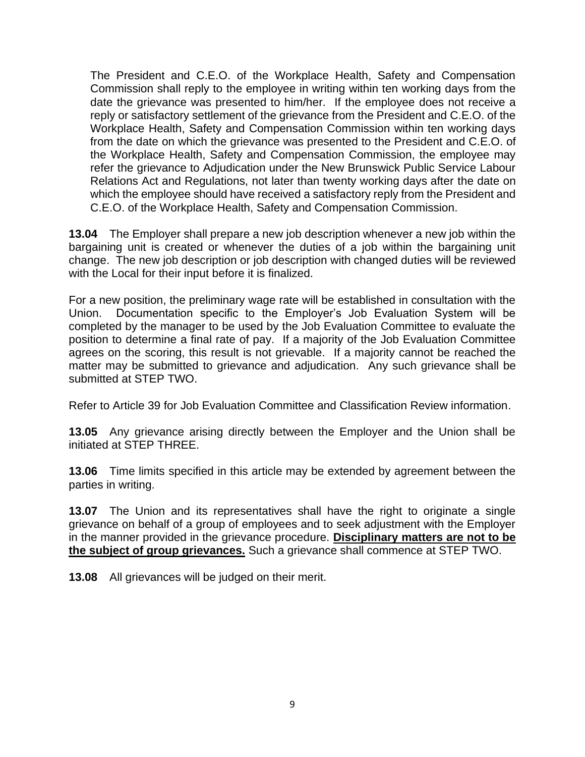The President and C.E.O. of the Workplace Health, Safety and Compensation Commission shall reply to the employee in writing within ten working days from the date the grievance was presented to him/her. If the employee does not receive a reply or satisfactory settlement of the grievance from the President and C.E.O. of the Workplace Health, Safety and Compensation Commission within ten working days from the date on which the grievance was presented to the President and C.E.O. of the Workplace Health, Safety and Compensation Commission, the employee may refer the grievance to Adjudication under the New Brunswick Public Service Labour Relations Act and Regulations, not later than twenty working days after the date on which the employee should have received a satisfactory reply from the President and C.E.O. of the Workplace Health, Safety and Compensation Commission.

**13.04** The Employer shall prepare a new job description whenever a new job within the bargaining unit is created or whenever the duties of a job within the bargaining unit change. The new job description or job description with changed duties will be reviewed with the Local for their input before it is finalized.

For a new position, the preliminary wage rate will be established in consultation with the Union. Documentation specific to the Employer's Job Evaluation System will be completed by the manager to be used by the Job Evaluation Committee to evaluate the position to determine a final rate of pay. If a majority of the Job Evaluation Committee agrees on the scoring, this result is not grievable. If a majority cannot be reached the matter may be submitted to grievance and adjudication. Any such grievance shall be submitted at STEP TWO.

Refer to Article 39 for Job Evaluation Committee and Classification Review information.

**13.05** Any grievance arising directly between the Employer and the Union shall be initiated at STEP THREE.

**13.06** Time limits specified in this article may be extended by agreement between the parties in writing.

**13.07** The Union and its representatives shall have the right to originate a single grievance on behalf of a group of employees and to seek adjustment with the Employer in the manner provided in the grievance procedure. **Disciplinary matters are not to be the subject of group grievances.** Such a grievance shall commence at STEP TWO.

**13.08** All grievances will be judged on their merit.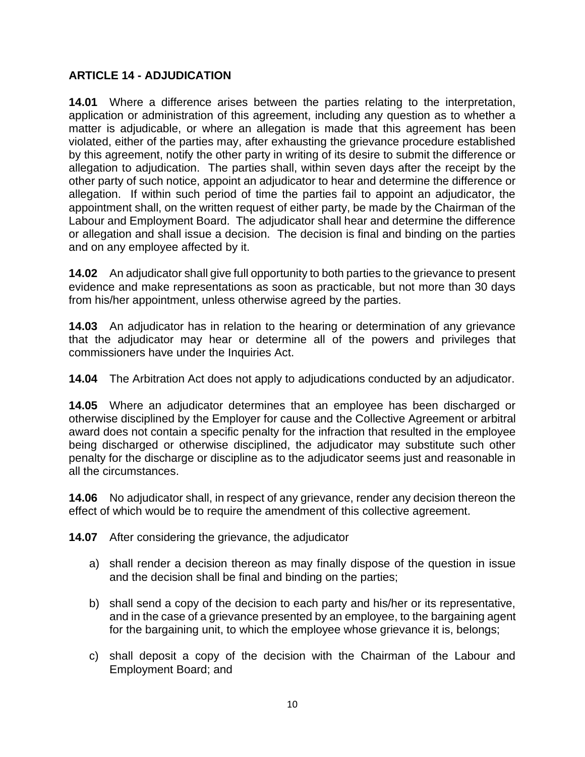#### <span id="page-12-0"></span>**ARTICLE 14 - ADJUDICATION**

**14.01** Where a difference arises between the parties relating to the interpretation, application or administration of this agreement, including any question as to whether a matter is adjudicable, or where an allegation is made that this agreement has been violated, either of the parties may, after exhausting the grievance procedure established by this agreement, notify the other party in writing of its desire to submit the difference or allegation to adjudication. The parties shall, within seven days after the receipt by the other party of such notice, appoint an adjudicator to hear and determine the difference or allegation. If within such period of time the parties fail to appoint an adjudicator, the appointment shall, on the written request of either party, be made by the Chairman of the Labour and Employment Board. The adjudicator shall hear and determine the difference or allegation and shall issue a decision. The decision is final and binding on the parties and on any employee affected by it.

**14.02** An adjudicator shall give full opportunity to both parties to the grievance to present evidence and make representations as soon as practicable, but not more than 30 days from his/her appointment, unless otherwise agreed by the parties.

**14.03** An adjudicator has in relation to the hearing or determination of any grievance that the adjudicator may hear or determine all of the powers and privileges that commissioners have under the Inquiries Act.

**14.04** The Arbitration Act does not apply to adjudications conducted by an adjudicator.

**14.05** Where an adjudicator determines that an employee has been discharged or otherwise disciplined by the Employer for cause and the Collective Agreement or arbitral award does not contain a specific penalty for the infraction that resulted in the employee being discharged or otherwise disciplined, the adjudicator may substitute such other penalty for the discharge or discipline as to the adjudicator seems just and reasonable in all the circumstances.

**14.06** No adjudicator shall, in respect of any grievance, render any decision thereon the effect of which would be to require the amendment of this collective agreement.

**14.07** After considering the grievance, the adjudicator

- a) shall render a decision thereon as may finally dispose of the question in issue and the decision shall be final and binding on the parties;
- b) shall send a copy of the decision to each party and his/her or its representative, and in the case of a grievance presented by an employee, to the bargaining agent for the bargaining unit, to which the employee whose grievance it is, belongs;
- c) shall deposit a copy of the decision with the Chairman of the Labour and Employment Board; and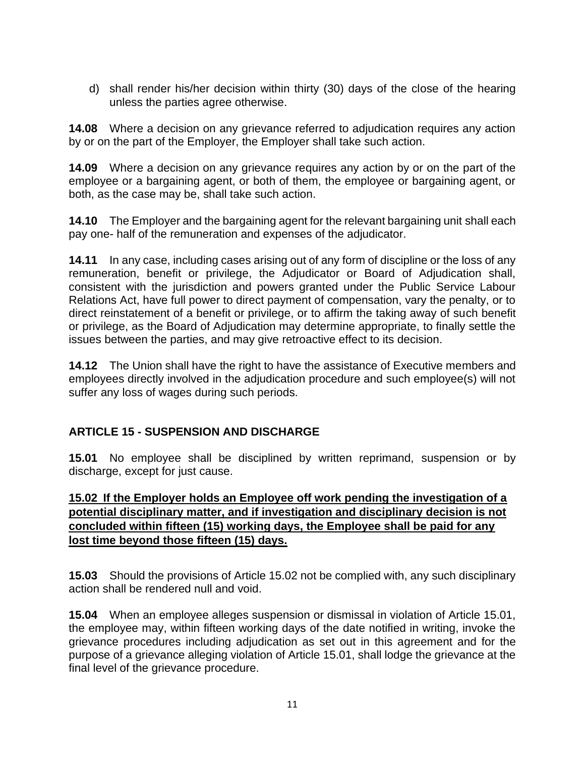d) shall render his/her decision within thirty (30) days of the close of the hearing unless the parties agree otherwise.

**14.08** Where a decision on any grievance referred to adjudication requires any action by or on the part of the Employer, the Employer shall take such action.

**14.09** Where a decision on any grievance requires any action by or on the part of the employee or a bargaining agent, or both of them, the employee or bargaining agent, or both, as the case may be, shall take such action.

**14.10** The Employer and the bargaining agent for the relevant bargaining unit shall each pay one- half of the remuneration and expenses of the adjudicator.

**14.11** In any case, including cases arising out of any form of discipline or the loss of any remuneration, benefit or privilege, the Adjudicator or Board of Adjudication shall, consistent with the jurisdiction and powers granted under the Public Service Labour Relations Act, have full power to direct payment of compensation, vary the penalty, or to direct reinstatement of a benefit or privilege, or to affirm the taking away of such benefit or privilege, as the Board of Adjudication may determine appropriate, to finally settle the issues between the parties, and may give retroactive effect to its decision.

**14.12** The Union shall have the right to have the assistance of Executive members and employees directly involved in the adjudication procedure and such employee(s) will not suffer any loss of wages during such periods.

## <span id="page-13-0"></span>**ARTICLE 15 - SUSPENSION AND DISCHARGE**

**15.01** No employee shall be disciplined by written reprimand, suspension or by discharge, except for just cause.

### **15.02 If the Employer holds an Employee off work pending the investigation of a potential disciplinary matter, and if investigation and disciplinary decision is not concluded within fifteen (15) working days, the Employee shall be paid for any lost time beyond those fifteen (15) days.**

**15.03** Should the provisions of Article 15.02 not be complied with, any such disciplinary action shall be rendered null and void.

**15.04** When an employee alleges suspension or dismissal in violation of Article 15.01, the employee may, within fifteen working days of the date notified in writing, invoke the grievance procedures including adjudication as set out in this agreement and for the purpose of a grievance alleging violation of Article 15.01, shall lodge the grievance at the final level of the grievance procedure.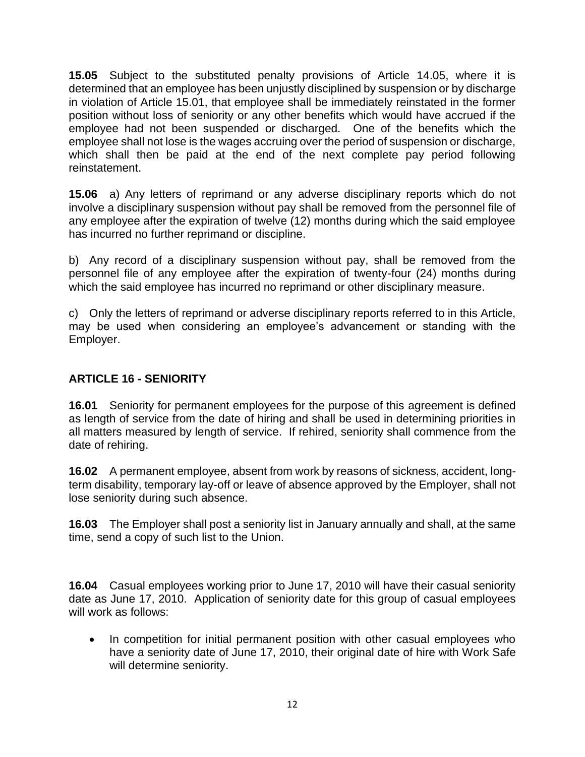**15.05** Subject to the substituted penalty provisions of Article 14.05, where it is determined that an employee has been unjustly disciplined by suspension or by discharge in violation of Article 15.01, that employee shall be immediately reinstated in the former position without loss of seniority or any other benefits which would have accrued if the employee had not been suspended or discharged. One of the benefits which the employee shall not lose is the wages accruing over the period of suspension or discharge, which shall then be paid at the end of the next complete pay period following reinstatement.

**15.06** a) Any letters of reprimand or any adverse disciplinary reports which do not involve a disciplinary suspension without pay shall be removed from the personnel file of any employee after the expiration of twelve (12) months during which the said employee has incurred no further reprimand or discipline.

b) Any record of a disciplinary suspension without pay, shall be removed from the personnel file of any employee after the expiration of twenty-four (24) months during which the said employee has incurred no reprimand or other disciplinary measure.

c) Only the letters of reprimand or adverse disciplinary reports referred to in this Article, may be used when considering an employee's advancement or standing with the Employer.

## <span id="page-14-0"></span>**ARTICLE 16 - SENIORITY**

**16.01** Seniority for permanent employees for the purpose of this agreement is defined as length of service from the date of hiring and shall be used in determining priorities in all matters measured by length of service. If rehired, seniority shall commence from the date of rehiring.

**16.02** A permanent employee, absent from work by reasons of sickness, accident, longterm disability, temporary lay-off or leave of absence approved by the Employer, shall not lose seniority during such absence.

**16.03** The Employer shall post a seniority list in January annually and shall, at the same time, send a copy of such list to the Union.

**16.04** Casual employees working prior to June 17, 2010 will have their casual seniority date as June 17, 2010. Application of seniority date for this group of casual employees will work as follows:

• In competition for initial permanent position with other casual employees who have a seniority date of June 17, 2010, their original date of hire with Work Safe will determine seniority.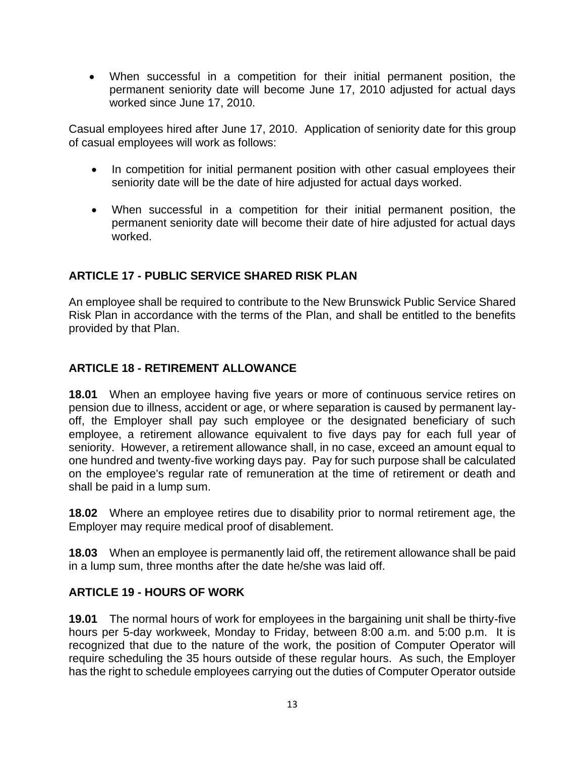• When successful in a competition for their initial permanent position, the permanent seniority date will become June 17, 2010 adjusted for actual days worked since June 17, 2010.

Casual employees hired after June 17, 2010. Application of seniority date for this group of casual employees will work as follows:

- In competition for initial permanent position with other casual employees their seniority date will be the date of hire adjusted for actual days worked.
- When successful in a competition for their initial permanent position, the permanent seniority date will become their date of hire adjusted for actual days worked.

## <span id="page-15-0"></span>**ARTICLE 17 - PUBLIC SERVICE SHARED RISK PLAN**

An employee shall be required to contribute to the New Brunswick Public Service Shared Risk Plan in accordance with the terms of the Plan, and shall be entitled to the benefits provided by that Plan.

## <span id="page-15-1"></span>**ARTICLE 18 - RETIREMENT ALLOWANCE**

**18.01** When an employee having five years or more of continuous service retires on pension due to illness, accident or age, or where separation is caused by permanent layoff, the Employer shall pay such employee or the designated beneficiary of such employee, a retirement allowance equivalent to five days pay for each full year of seniority. However, a retirement allowance shall, in no case, exceed an amount equal to one hundred and twenty-five working days pay. Pay for such purpose shall be calculated on the employee's regular rate of remuneration at the time of retirement or death and shall be paid in a lump sum.

**18.02** Where an employee retires due to disability prior to normal retirement age, the Employer may require medical proof of disablement.

**18.03** When an employee is permanently laid off, the retirement allowance shall be paid in a lump sum, three months after the date he/she was laid off.

### <span id="page-15-2"></span>**ARTICLE 19 - HOURS OF WORK**

**19.01** The normal hours of work for employees in the bargaining unit shall be thirty-five hours per 5-day workweek, Monday to Friday, between 8:00 a.m. and 5:00 p.m. It is recognized that due to the nature of the work, the position of Computer Operator will require scheduling the 35 hours outside of these regular hours. As such, the Employer has the right to schedule employees carrying out the duties of Computer Operator outside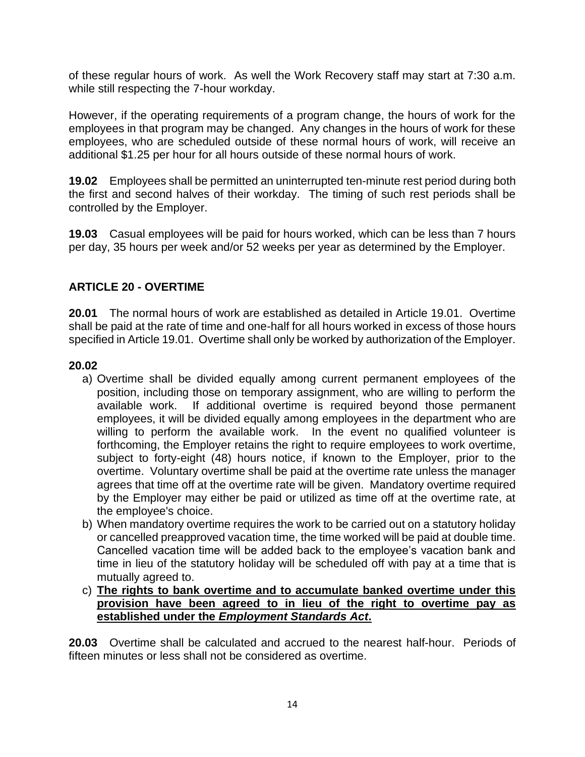of these regular hours of work. As well the Work Recovery staff may start at 7:30 a.m. while still respecting the 7-hour workday.

However, if the operating requirements of a program change, the hours of work for the employees in that program may be changed. Any changes in the hours of work for these employees, who are scheduled outside of these normal hours of work, will receive an additional \$1.25 per hour for all hours outside of these normal hours of work.

**19.02** Employees shall be permitted an uninterrupted ten-minute rest period during both the first and second halves of their workday. The timing of such rest periods shall be controlled by the Employer.

**19.03** Casual employees will be paid for hours worked, which can be less than 7 hours per day, 35 hours per week and/or 52 weeks per year as determined by the Employer.

## <span id="page-16-0"></span>**ARTICLE 20 - OVERTIME**

**20.01** The normal hours of work are established as detailed in Article 19.01. Overtime shall be paid at the rate of time and one-half for all hours worked in excess of those hours specified in Article 19.01. Overtime shall only be worked by authorization of the Employer.

#### **20.02**

- a) Overtime shall be divided equally among current permanent employees of the position, including those on temporary assignment, who are willing to perform the available work. If additional overtime is required beyond those permanent employees, it will be divided equally among employees in the department who are willing to perform the available work. In the event no qualified volunteer is forthcoming, the Employer retains the right to require employees to work overtime, subject to forty-eight (48) hours notice, if known to the Employer, prior to the overtime. Voluntary overtime shall be paid at the overtime rate unless the manager agrees that time off at the overtime rate will be given. Mandatory overtime required by the Employer may either be paid or utilized as time off at the overtime rate, at the employee's choice.
- b) When mandatory overtime requires the work to be carried out on a statutory holiday or cancelled preapproved vacation time, the time worked will be paid at double time. Cancelled vacation time will be added back to the employee's vacation bank and time in lieu of the statutory holiday will be scheduled off with pay at a time that is mutually agreed to.
- c) **The rights to bank overtime and to accumulate banked overtime under this provision have been agreed to in lieu of the right to overtime pay as established under the** *Employment Standards Act***.**

**20.03** Overtime shall be calculated and accrued to the nearest half-hour. Periods of fifteen minutes or less shall not be considered as overtime.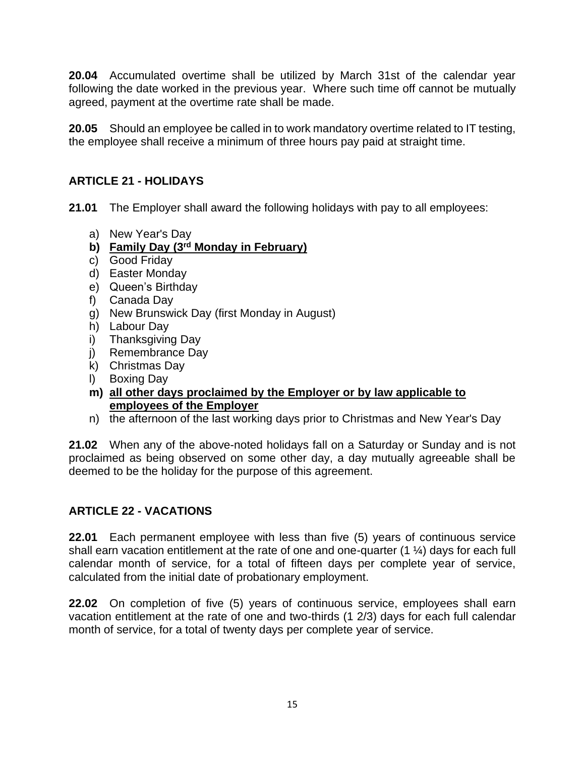**20.04** Accumulated overtime shall be utilized by March 31st of the calendar year following the date worked in the previous year. Where such time off cannot be mutually agreed, payment at the overtime rate shall be made.

**20.05** Should an employee be called in to work mandatory overtime related to IT testing, the employee shall receive a minimum of three hours pay paid at straight time.

## <span id="page-17-0"></span>**ARTICLE 21 - HOLIDAYS**

**21.01** The Employer shall award the following holidays with pay to all employees:

- a) New Year's Day
- **b) Family Day (3rd Monday in February)**
- c) Good Friday
- d) Easter Monday
- e) Queen's Birthday
- f) Canada Day
- g) New Brunswick Day (first Monday in August)
- h) Labour Day
- i) Thanksgiving Day
- j) Remembrance Day
- k) Christmas Day
- l) Boxing Day
- **m) all other days proclaimed by the Employer or by law applicable to employees of the Employer**
- n) the afternoon of the last working days prior to Christmas and New Year's Day

**21.02** When any of the above-noted holidays fall on a Saturday or Sunday and is not proclaimed as being observed on some other day, a day mutually agreeable shall be deemed to be the holiday for the purpose of this agreement.

### <span id="page-17-1"></span>**ARTICLE 22 - VACATIONS**

**22.01** Each permanent employee with less than five (5) years of continuous service shall earn vacation entitlement at the rate of one and one-quarter (1 ¼) days for each full calendar month of service, for a total of fifteen days per complete year of service, calculated from the initial date of probationary employment.

**22.02** On completion of five (5) years of continuous service, employees shall earn vacation entitlement at the rate of one and two-thirds (1 2/3) days for each full calendar month of service, for a total of twenty days per complete year of service.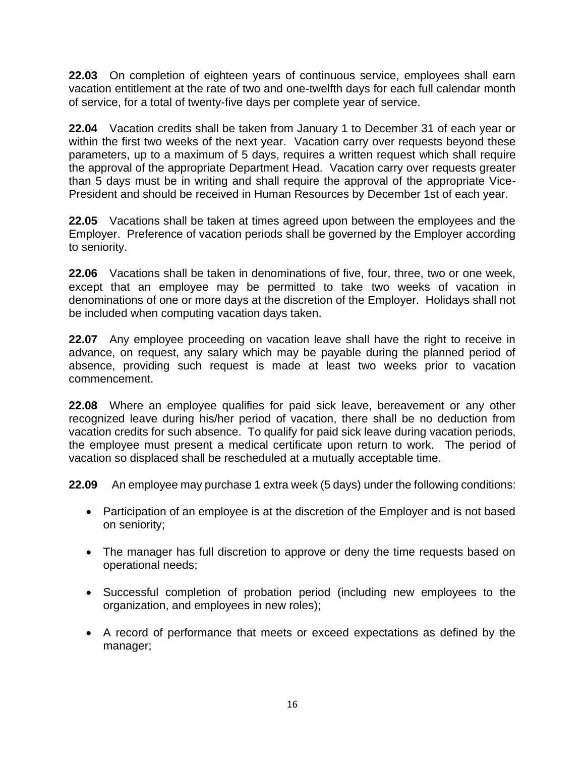**22.03** On completion of eighteen years of continuous service, employees shall earn vacation entitlement at the rate of two and one-twelfth days for each full calendar month of service, for a total of twenty-five days per complete year of service.

**22.04** Vacation credits shall be taken from January 1 to December 31 of each year or within the first two weeks of the next year. Vacation carry over requests beyond these parameters, up to a maximum of 5 days, requires a written request which shall require the approval of the appropriate Department Head. Vacation carry over requests greater than 5 days must be in writing and shall require the approval of the appropriate Vice-President and should be received in Human Resources by December 1st of each year.

**22.05** Vacations shall be taken at times agreed upon between the employees and the Employer. Preference of vacation periods shall be governed by the Employer according to seniority.

**22.06** Vacations shall be taken in denominations of five, four, three, two or one week, except that an employee may be permitted to take two weeks of vacation in denominations of one or more days at the discretion of the Employer. Holidays shall not be included when computing vacation days taken.

**22.07** Any employee proceeding on vacation leave shall have the right to receive in advance, on request, any salary which may be payable during the planned period of absence, providing such request is made at least two weeks prior to vacation commencement.

**22.08** Where an employee qualifies for paid sick leave, bereavement or any other recognized leave during his/her period of vacation, there shall be no deduction from vacation credits for such absence. To qualify for paid sick leave during vacation periods, the employee must present a medical certificate upon return to work. The period of vacation so displaced shall be rescheduled at a mutually acceptable time.

**22.09** An employee may purchase 1 extra week (5 days) under the following conditions:

- Participation of an employee is at the discretion of the Employer and is not based on seniority;
- The manager has full discretion to approve or deny the time requests based on operational needs;
- Successful completion of probation period (including new employees to the organization, and employees in new roles);
- A record of performance that meets or exceed expectations as defined by the manager;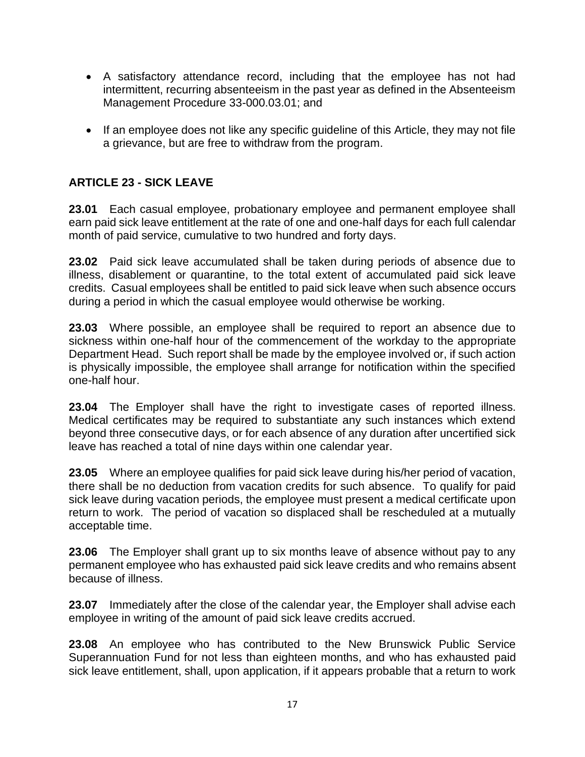- A satisfactory attendance record, including that the employee has not had intermittent, recurring absenteeism in the past year as defined in the Absenteeism Management Procedure 33-000.03.01; and
- If an employee does not like any specific guideline of this Article, they may not file a grievance, but are free to withdraw from the program.

## <span id="page-19-0"></span>**ARTICLE 23 - SICK LEAVE**

**23.01** Each casual employee, probationary employee and permanent employee shall earn paid sick leave entitlement at the rate of one and one-half days for each full calendar month of paid service, cumulative to two hundred and forty days.

**23.02** Paid sick leave accumulated shall be taken during periods of absence due to illness, disablement or quarantine, to the total extent of accumulated paid sick leave credits. Casual employees shall be entitled to paid sick leave when such absence occurs during a period in which the casual employee would otherwise be working.

**23.03** Where possible, an employee shall be required to report an absence due to sickness within one-half hour of the commencement of the workday to the appropriate Department Head. Such report shall be made by the employee involved or, if such action is physically impossible, the employee shall arrange for notification within the specified one-half hour.

**23.04** The Employer shall have the right to investigate cases of reported illness. Medical certificates may be required to substantiate any such instances which extend beyond three consecutive days, or for each absence of any duration after uncertified sick leave has reached a total of nine days within one calendar year.

**23.05** Where an employee qualifies for paid sick leave during his/her period of vacation, there shall be no deduction from vacation credits for such absence. To qualify for paid sick leave during vacation periods, the employee must present a medical certificate upon return to work. The period of vacation so displaced shall be rescheduled at a mutually acceptable time.

**23.06** The Employer shall grant up to six months leave of absence without pay to any permanent employee who has exhausted paid sick leave credits and who remains absent because of illness.

**23.07** Immediately after the close of the calendar year, the Employer shall advise each employee in writing of the amount of paid sick leave credits accrued.

**23.08** An employee who has contributed to the New Brunswick Public Service Superannuation Fund for not less than eighteen months, and who has exhausted paid sick leave entitlement, shall, upon application, if it appears probable that a return to work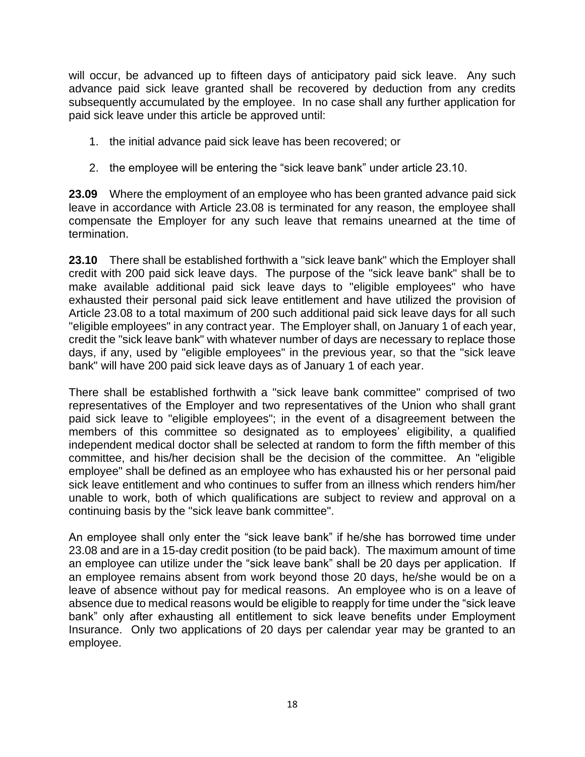will occur, be advanced up to fifteen days of anticipatory paid sick leave. Any such advance paid sick leave granted shall be recovered by deduction from any credits subsequently accumulated by the employee. In no case shall any further application for paid sick leave under this article be approved until:

- 1. the initial advance paid sick leave has been recovered; or
- 2. the employee will be entering the "sick leave bank" under article 23.10.

**23.09** Where the employment of an employee who has been granted advance paid sick leave in accordance with Article 23.08 is terminated for any reason, the employee shall compensate the Employer for any such leave that remains unearned at the time of termination.

**23.10** There shall be established forthwith a "sick leave bank" which the Employer shall credit with 200 paid sick leave days. The purpose of the "sick leave bank" shall be to make available additional paid sick leave days to "eligible employees" who have exhausted their personal paid sick leave entitlement and have utilized the provision of Article 23.08 to a total maximum of 200 such additional paid sick leave days for all such "eligible employees" in any contract year. The Employer shall, on January 1 of each year, credit the "sick leave bank" with whatever number of days are necessary to replace those days, if any, used by "eligible employees" in the previous year, so that the "sick leave bank" will have 200 paid sick leave days as of January 1 of each year.

There shall be established forthwith a "sick leave bank committee" comprised of two representatives of the Employer and two representatives of the Union who shall grant paid sick leave to "eligible employees"; in the event of a disagreement between the members of this committee so designated as to employees' eligibility, a qualified independent medical doctor shall be selected at random to form the fifth member of this committee, and his/her decision shall be the decision of the committee. An "eligible employee" shall be defined as an employee who has exhausted his or her personal paid sick leave entitlement and who continues to suffer from an illness which renders him/her unable to work, both of which qualifications are subject to review and approval on a continuing basis by the "sick leave bank committee".

An employee shall only enter the "sick leave bank" if he/she has borrowed time under 23.08 and are in a 15-day credit position (to be paid back). The maximum amount of time an employee can utilize under the "sick leave bank" shall be 20 days per application. If an employee remains absent from work beyond those 20 days, he/she would be on a leave of absence without pay for medical reasons. An employee who is on a leave of absence due to medical reasons would be eligible to reapply for time under the "sick leave bank" only after exhausting all entitlement to sick leave benefits under Employment Insurance. Only two applications of 20 days per calendar year may be granted to an employee.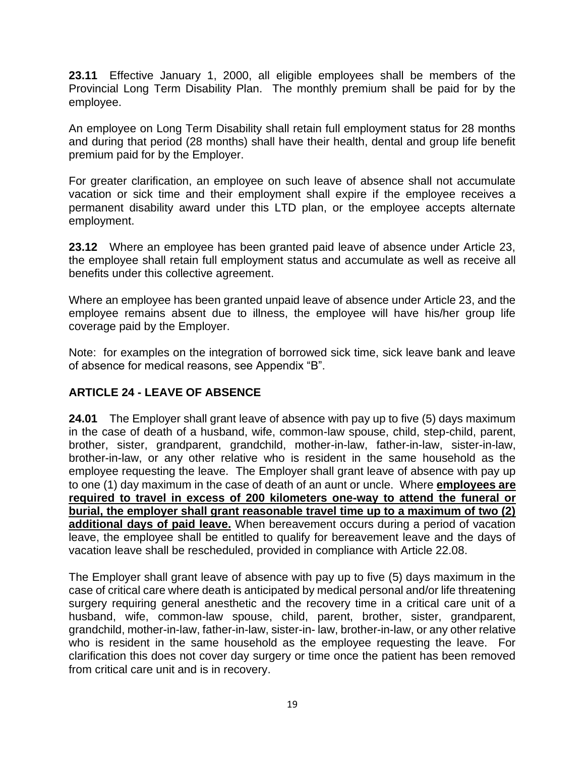**23.11** Effective January 1, 2000, all eligible employees shall be members of the Provincial Long Term Disability Plan. The monthly premium shall be paid for by the employee.

An employee on Long Term Disability shall retain full employment status for 28 months and during that period (28 months) shall have their health, dental and group life benefit premium paid for by the Employer.

For greater clarification, an employee on such leave of absence shall not accumulate vacation or sick time and their employment shall expire if the employee receives a permanent disability award under this LTD plan, or the employee accepts alternate employment.

**23.12** Where an employee has been granted paid leave of absence under Article 23, the employee shall retain full employment status and accumulate as well as receive all benefits under this collective agreement.

Where an employee has been granted unpaid leave of absence under Article 23, and the employee remains absent due to illness, the employee will have his/her group life coverage paid by the Employer.

Note: for examples on the integration of borrowed sick time, sick leave bank and leave of absence for medical reasons, see Appendix "B".

### <span id="page-21-0"></span>**ARTICLE 24 - LEAVE OF ABSENCE**

**24.01** The Employer shall grant leave of absence with pay up to five (5) days maximum in the case of death of a husband, wife, common-law spouse, child, step-child, parent, brother, sister, grandparent, grandchild, mother-in-law, father-in-law, sister-in-law, brother-in-law, or any other relative who is resident in the same household as the employee requesting the leave. The Employer shall grant leave of absence with pay up to one (1) day maximum in the case of death of an aunt or uncle. Where **employees are required to travel in excess of 200 kilometers one-way to attend the funeral or burial, the employer shall grant reasonable travel time up to a maximum of two (2) additional days of paid leave.** When bereavement occurs during a period of vacation leave, the employee shall be entitled to qualify for bereavement leave and the days of vacation leave shall be rescheduled, provided in compliance with Article 22.08.

The Employer shall grant leave of absence with pay up to five (5) days maximum in the case of critical care where death is anticipated by medical personal and/or life threatening surgery requiring general anesthetic and the recovery time in a critical care unit of a husband, wife, common-law spouse, child, parent, brother, sister, grandparent, grandchild, mother-in-law, father-in-law, sister-in- law, brother-in-law, or any other relative who is resident in the same household as the employee requesting the leave. For clarification this does not cover day surgery or time once the patient has been removed from critical care unit and is in recovery.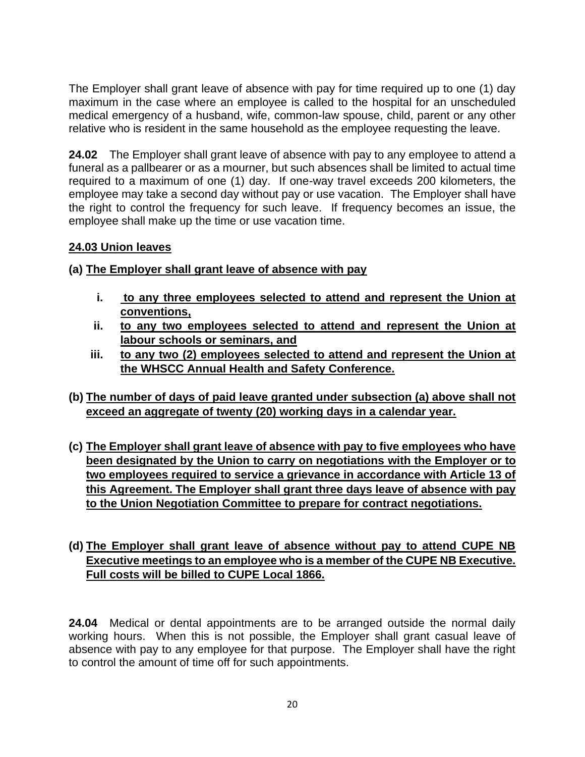The Employer shall grant leave of absence with pay for time required up to one (1) day maximum in the case where an employee is called to the hospital for an unscheduled medical emergency of a husband, wife, common-law spouse, child, parent or any other relative who is resident in the same household as the employee requesting the leave.

**24.02** The Employer shall grant leave of absence with pay to any employee to attend a funeral as a pallbearer or as a mourner, but such absences shall be limited to actual time required to a maximum of one (1) day. If one-way travel exceeds 200 kilometers, the employee may take a second day without pay or use vacation. The Employer shall have the right to control the frequency for such leave. If frequency becomes an issue, the employee shall make up the time or use vacation time.

## **24.03 Union leaves**

**(a) The Employer shall grant leave of absence with pay**

- **i. to any three employees selected to attend and represent the Union at conventions,**
- **ii. to any two employees selected to attend and represent the Union at labour schools or seminars, and**
- **iii. to any two (2) employees selected to attend and represent the Union at the WHSCC Annual Health and Safety Conference.**
- **(b) The number of days of paid leave granted under subsection (a) above shall not exceed an aggregate of twenty (20) working days in a calendar year.**
- **(c) The Employer shall grant leave of absence with pay to five employees who have been designated by the Union to carry on negotiations with the Employer or to two employees required to service a grievance in accordance with Article 13 of this Agreement. The Employer shall grant three days leave of absence with pay to the Union Negotiation Committee to prepare for contract negotiations.**

## **(d) The Employer shall grant leave of absence without pay to attend CUPE NB Executive meetings to an employee who is a member of the CUPE NB Executive. Full costs will be billed to CUPE Local 1866.**

**24.04** Medical or dental appointments are to be arranged outside the normal daily working hours. When this is not possible, the Employer shall grant casual leave of absence with pay to any employee for that purpose. The Employer shall have the right to control the amount of time off for such appointments.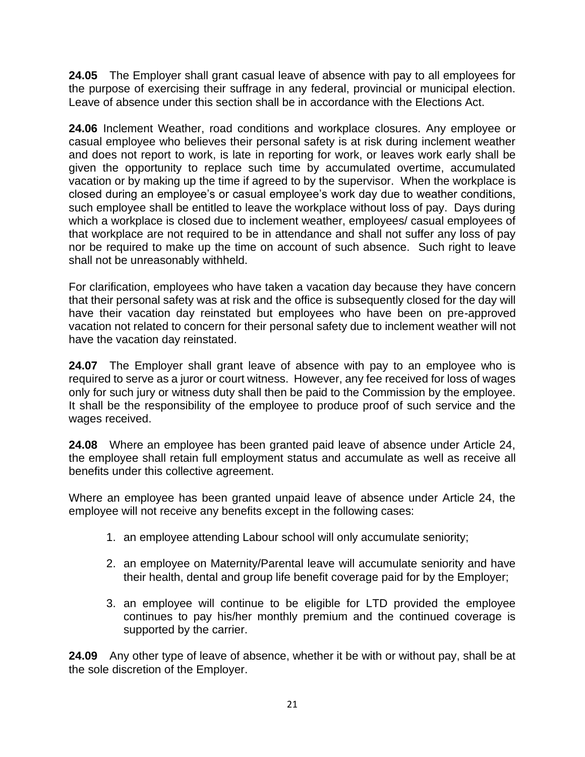**24.05** The Employer shall grant casual leave of absence with pay to all employees for the purpose of exercising their suffrage in any federal, provincial or municipal election. Leave of absence under this section shall be in accordance with the Elections Act.

**24.06** Inclement Weather, road conditions and workplace closures. Any employee or casual employee who believes their personal safety is at risk during inclement weather and does not report to work, is late in reporting for work, or leaves work early shall be given the opportunity to replace such time by accumulated overtime, accumulated vacation or by making up the time if agreed to by the supervisor. When the workplace is closed during an employee's or casual employee's work day due to weather conditions, such employee shall be entitled to leave the workplace without loss of pay. Days during which a workplace is closed due to inclement weather, employees/ casual employees of that workplace are not required to be in attendance and shall not suffer any loss of pay nor be required to make up the time on account of such absence. Such right to leave shall not be unreasonably withheld.

For clarification, employees who have taken a vacation day because they have concern that their personal safety was at risk and the office is subsequently closed for the day will have their vacation day reinstated but employees who have been on pre-approved vacation not related to concern for their personal safety due to inclement weather will not have the vacation day reinstated.

**24.07** The Employer shall grant leave of absence with pay to an employee who is required to serve as a juror or court witness. However, any fee received for loss of wages only for such jury or witness duty shall then be paid to the Commission by the employee. It shall be the responsibility of the employee to produce proof of such service and the wages received.

**24.08** Where an employee has been granted paid leave of absence under Article 24, the employee shall retain full employment status and accumulate as well as receive all benefits under this collective agreement.

Where an employee has been granted unpaid leave of absence under Article 24, the employee will not receive any benefits except in the following cases:

- 1. an employee attending Labour school will only accumulate seniority;
- 2. an employee on Maternity/Parental leave will accumulate seniority and have their health, dental and group life benefit coverage paid for by the Employer;
- 3. an employee will continue to be eligible for LTD provided the employee continues to pay his/her monthly premium and the continued coverage is supported by the carrier.

**24.09** Any other type of leave of absence, whether it be with or without pay, shall be at the sole discretion of the Employer.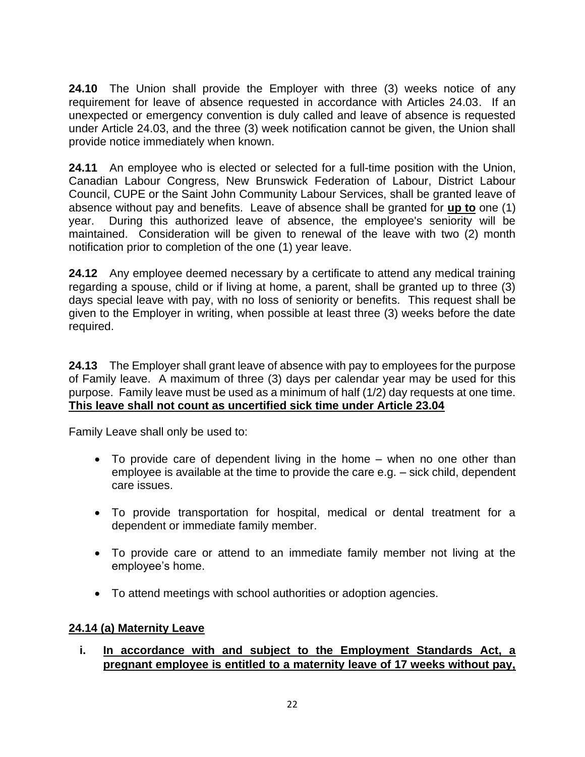**24.10** The Union shall provide the Employer with three (3) weeks notice of any requirement for leave of absence requested in accordance with Articles 24.03. If an unexpected or emergency convention is duly called and leave of absence is requested under Article 24.03, and the three (3) week notification cannot be given, the Union shall provide notice immediately when known.

**24.11** An employee who is elected or selected for a full-time position with the Union, Canadian Labour Congress, New Brunswick Federation of Labour, District Labour Council, CUPE or the Saint John Community Labour Services, shall be granted leave of absence without pay and benefits. Leave of absence shall be granted for **up to** one (1) year. During this authorized leave of absence, the employee's seniority will be maintained. Consideration will be given to renewal of the leave with two (2) month notification prior to completion of the one (1) year leave.

**24.12** Any employee deemed necessary by a certificate to attend any medical training regarding a spouse, child or if living at home, a parent, shall be granted up to three (3) days special leave with pay, with no loss of seniority or benefits. This request shall be given to the Employer in writing, when possible at least three (3) weeks before the date required.

**24.13** The Employer shall grant leave of absence with pay to employees for the purpose of Family leave. A maximum of three (3) days per calendar year may be used for this purpose. Family leave must be used as a minimum of half (1/2) day requests at one time. **This leave shall not count as uncertified sick time under Article 23.04**

Family Leave shall only be used to:

- To provide care of dependent living in the home when no one other than employee is available at the time to provide the care e.g. – sick child, dependent care issues.
- To provide transportation for hospital, medical or dental treatment for a dependent or immediate family member.
- To provide care or attend to an immediate family member not living at the employee's home.
- To attend meetings with school authorities or adoption agencies.

### **24.14 (a) Maternity Leave**

**i. In accordance with and subject to the Employment Standards Act, a pregnant employee is entitled to a maternity leave of 17 weeks without pay,**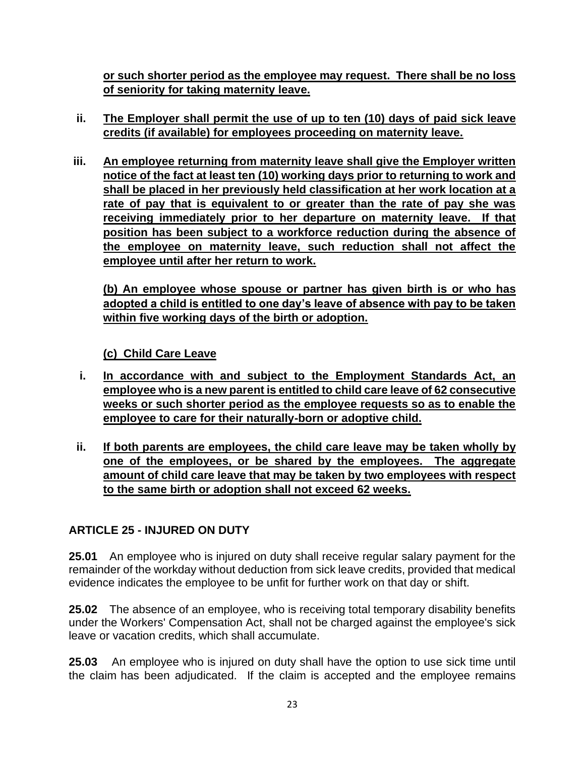**or such shorter period as the employee may request. There shall be no loss of seniority for taking maternity leave.**

- **ii. The Employer shall permit the use of up to ten (10) days of paid sick leave credits (if available) for employees proceeding on maternity leave.**
- **iii. An employee returning from maternity leave shall give the Employer written notice of the fact at least ten (10) working days prior to returning to work and shall be placed in her previously held classification at her work location at a rate of pay that is equivalent to or greater than the rate of pay she was receiving immediately prior to her departure on maternity leave. If that position has been subject to a workforce reduction during the absence of the employee on maternity leave, such reduction shall not affect the employee until after her return to work.**

**(b) An employee whose spouse or partner has given birth is or who has adopted a child is entitled to one day's leave of absence with pay to be taken within five working days of the birth or adoption.**

**(c) Child Care Leave**

- **i. In accordance with and subject to the Employment Standards Act, an employee who is a new parent is entitled to child care leave of 62 consecutive weeks or such shorter period as the employee requests so as to enable the employee to care for their naturally-born or adoptive child.**
- **ii. If both parents are employees, the child care leave may be taken wholly by one of the employees, or be shared by the employees. The aggregate amount of child care leave that may be taken by two employees with respect to the same birth or adoption shall not exceed 62 weeks.**

## <span id="page-25-0"></span>**ARTICLE 25 - INJURED ON DUTY**

**25.01** An employee who is injured on duty shall receive regular salary payment for the remainder of the workday without deduction from sick leave credits, provided that medical evidence indicates the employee to be unfit for further work on that day or shift.

**25.02** The absence of an employee, who is receiving total temporary disability benefits under the Workers' Compensation Act, shall not be charged against the employee's sick leave or vacation credits, which shall accumulate.

**25.03** An employee who is injured on duty shall have the option to use sick time until the claim has been adjudicated. If the claim is accepted and the employee remains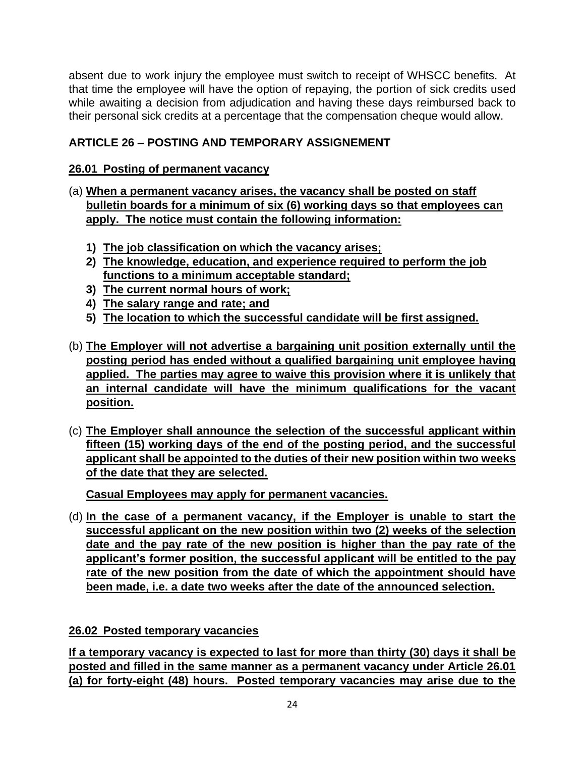absent due to work injury the employee must switch to receipt of WHSCC benefits. At that time the employee will have the option of repaying, the portion of sick credits used while awaiting a decision from adjudication and having these days reimbursed back to their personal sick credits at a percentage that the compensation cheque would allow.

## <span id="page-26-0"></span>**ARTICLE 26 – POSTING AND TEMPORARY ASSIGNEMENT**

## **26.01 Posting of permanent vacancy**

- (a) **When a permanent vacancy arises, the vacancy shall be posted on staff bulletin boards for a minimum of six (6) working days so that employees can apply. The notice must contain the following information:**
	- **1) The job classification on which the vacancy arises;**
	- **2) The knowledge, education, and experience required to perform the job functions to a minimum acceptable standard;**
	- **3) The current normal hours of work;**
	- **4) The salary range and rate; and**
	- **5) The location to which the successful candidate will be first assigned.**
- (b) **The Employer will not advertise a bargaining unit position externally until the posting period has ended without a qualified bargaining unit employee having applied. The parties may agree to waive this provision where it is unlikely that an internal candidate will have the minimum qualifications for the vacant position.**
- (c) **The Employer shall announce the selection of the successful applicant within fifteen (15) working days of the end of the posting period, and the successful applicant shall be appointed to the duties of their new position within two weeks of the date that they are selected.**

**Casual Employees may apply for permanent vacancies.** 

(d) **In the case of a permanent vacancy, if the Employer is unable to start the successful applicant on the new position within two (2) weeks of the selection date and the pay rate of the new position is higher than the pay rate of the applicant's former position, the successful applicant will be entitled to the pay rate of the new position from the date of which the appointment should have been made, i.e. a date two weeks after the date of the announced selection.**

## **26.02 Posted temporary vacancies**

**If a temporary vacancy is expected to last for more than thirty (30) days it shall be posted and filled in the same manner as a permanent vacancy under Article 26.01 (a) for forty-eight (48) hours. Posted temporary vacancies may arise due to the**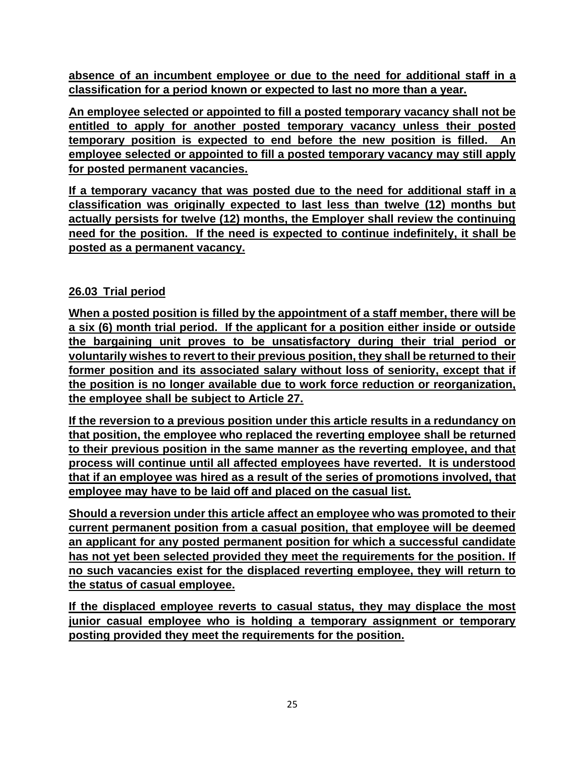**absence of an incumbent employee or due to the need for additional staff in a classification for a period known or expected to last no more than a year.** 

**An employee selected or appointed to fill a posted temporary vacancy shall not be entitled to apply for another posted temporary vacancy unless their posted temporary position is expected to end before the new position is filled. An employee selected or appointed to fill a posted temporary vacancy may still apply for posted permanent vacancies.** 

**If a temporary vacancy that was posted due to the need for additional staff in a classification was originally expected to last less than twelve (12) months but actually persists for twelve (12) months, the Employer shall review the continuing need for the position. If the need is expected to continue indefinitely, it shall be posted as a permanent vacancy.**

## **26.03 Trial period**

**When a posted position is filled by the appointment of a staff member, there will be a six (6) month trial period. If the applicant for a position either inside or outside the bargaining unit proves to be unsatisfactory during their trial period or voluntarily wishes to revert to their previous position, they shall be returned to their former position and its associated salary without loss of seniority, except that if the position is no longer available due to work force reduction or reorganization, the employee shall be subject to Article 27.** 

**If the reversion to a previous position under this article results in a redundancy on that position, the employee who replaced the reverting employee shall be returned to their previous position in the same manner as the reverting employee, and that process will continue until all affected employees have reverted. It is understood that if an employee was hired as a result of the series of promotions involved, that employee may have to be laid off and placed on the casual list.**

**Should a reversion under this article affect an employee who was promoted to their current permanent position from a casual position, that employee will be deemed an applicant for any posted permanent position for which a successful candidate has not yet been selected provided they meet the requirements for the position. If no such vacancies exist for the displaced reverting employee, they will return to the status of casual employee.**

**If the displaced employee reverts to casual status, they may displace the most junior casual employee who is holding a temporary assignment or temporary posting provided they meet the requirements for the position.**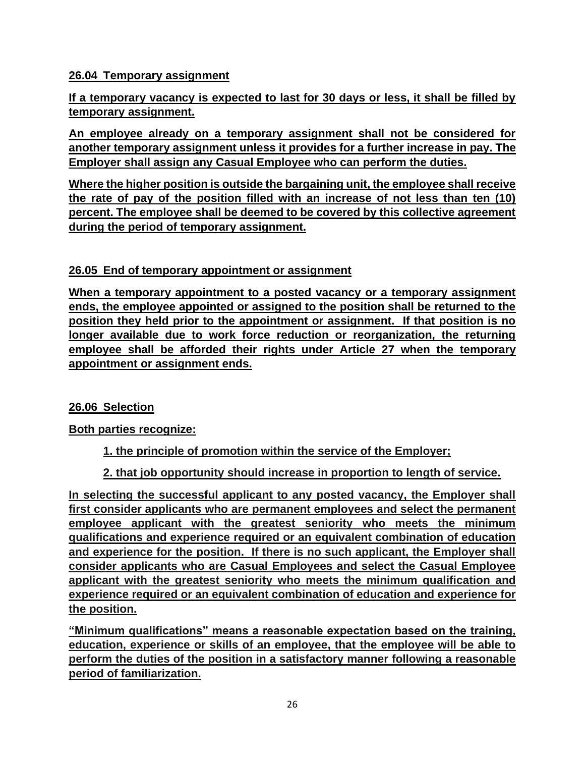## **26.04 Temporary assignment**

**If a temporary vacancy is expected to last for 30 days or less, it shall be filled by temporary assignment.** 

**An employee already on a temporary assignment shall not be considered for another temporary assignment unless it provides for a further increase in pay. The Employer shall assign any Casual Employee who can perform the duties.**

**Where the higher position is outside the bargaining unit, the employee shall receive the rate of pay of the position filled with an increase of not less than ten (10) percent. The employee shall be deemed to be covered by this collective agreement during the period of temporary assignment.**

## **26.05 End of temporary appointment or assignment**

**When a temporary appointment to a posted vacancy or a temporary assignment ends, the employee appointed or assigned to the position shall be returned to the position they held prior to the appointment or assignment. If that position is no longer available due to work force reduction or reorganization, the returning employee shall be afforded their rights under Article 27 when the temporary appointment or assignment ends.**

### **26.06 Selection**

**Both parties recognize:**

**1. the principle of promotion within the service of the Employer;**

**2. that job opportunity should increase in proportion to length of service.**

**In selecting the successful applicant to any posted vacancy, the Employer shall first consider applicants who are permanent employees and select the permanent employee applicant with the greatest seniority who meets the minimum qualifications and experience required or an equivalent combination of education and experience for the position. If there is no such applicant, the Employer shall consider applicants who are Casual Employees and select the Casual Employee applicant with the greatest seniority who meets the minimum qualification and experience required or an equivalent combination of education and experience for the position.** 

**"Minimum qualifications" means a reasonable expectation based on the training, education, experience or skills of an employee, that the employee will be able to perform the duties of the position in a satisfactory manner following a reasonable period of familiarization.**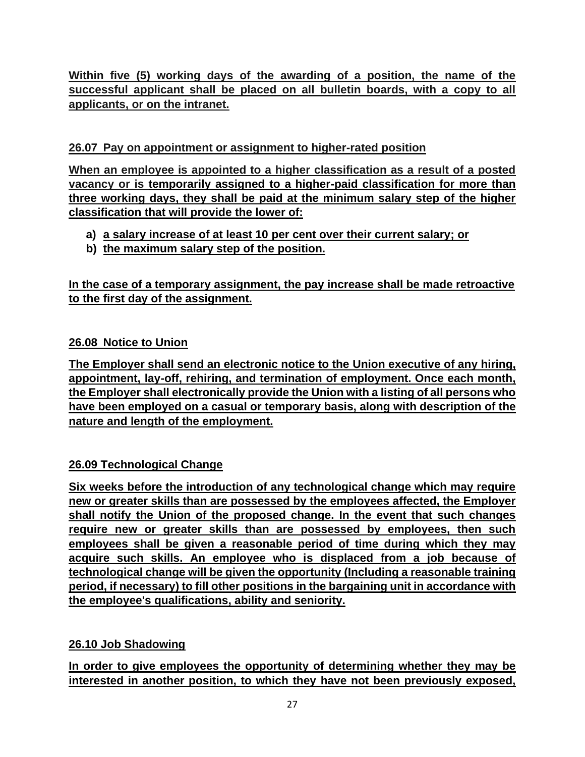**Within five (5) working days of the awarding of a position, the name of the successful applicant shall be placed on all bulletin boards, with a copy to all applicants, or on the intranet.**

## **26.07 Pay on appointment or assignment to higher-rated position**

**When an employee is appointed to a higher classification as a result of a posted vacancy or is temporarily assigned to a higher-paid classification for more than three working days, they shall be paid at the minimum salary step of the higher classification that will provide the lower of:**

- **a) a salary increase of at least 10 per cent over their current salary; or**
- **b) the maximum salary step of the position.**

**In the case of a temporary assignment, the pay increase shall be made retroactive to the first day of the assignment.**

## **26.08 Notice to Union**

**The Employer shall send an electronic notice to the Union executive of any hiring, appointment, lay-off, rehiring, and termination of employment. Once each month, the Employer shall electronically provide the Union with a listing of all persons who have been employed on a casual or temporary basis, along with description of the nature and length of the employment.**

## **26.09 Technological Change**

**Six weeks before the introduction of any technological change which may require new or greater skills than are possessed by the employees affected, the Employer shall notify the Union of the proposed change. In the event that such changes require new or greater skills than are possessed by employees, then such employees shall be given a reasonable period of time during which they may acquire such skills. An employee who is displaced from a job because of technological change will be given the opportunity (Including a reasonable training period, if necessary) to fill other positions in the bargaining unit in accordance with the employee's qualifications, ability and seniority.**

### **26.10 Job Shadowing**

**In order to give employees the opportunity of determining whether they may be interested in another position, to which they have not been previously exposed,**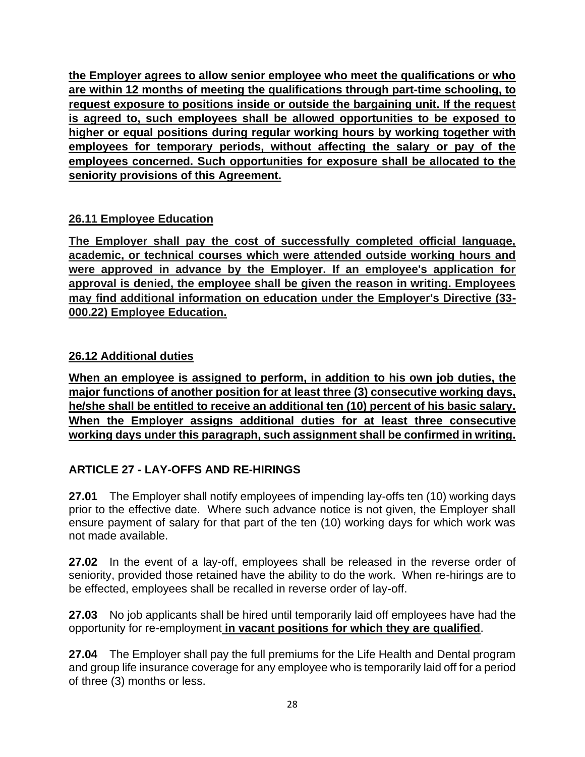**the Employer agrees to allow senior employee who meet the qualifications or who are within 12 months of meeting the qualifications through part-time schooling, to request exposure to positions inside or outside the bargaining unit. If the request is agreed to, such employees shall be allowed opportunities to be exposed to higher or equal positions during regular working hours by working together with employees for temporary periods, without affecting the salary or pay of the employees concerned. Such opportunities for exposure shall be allocated to the seniority provisions of this Agreement.**

## **26.11 Employee Education**

**The Employer shall pay the cost of successfully completed official language, academic, or technical courses which were attended outside working hours and were approved in advance by the Employer. If an employee's application for approval is denied, the employee shall be given the reason in writing. Employees may find additional information on education under the Employer's Directive (33- 000.22) Employee Education.**

## **26.12 Additional duties**

**When an employee is assigned to perform, in addition to his own job duties, the major functions of another position for at least three (3) consecutive working days, he/she shall be entitled to receive an additional ten (10) percent of his basic salary. When the Employer assigns additional duties for at least three consecutive working days under this paragraph, such assignment shall be confirmed in writing.**

## <span id="page-30-0"></span>**ARTICLE 27 - LAY-OFFS AND RE-HIRINGS**

**27.01** The Employer shall notify employees of impending lay-offs ten (10) working days prior to the effective date. Where such advance notice is not given, the Employer shall ensure payment of salary for that part of the ten (10) working days for which work was not made available.

**27.02** In the event of a lay-off, employees shall be released in the reverse order of seniority, provided those retained have the ability to do the work. When re-hirings are to be effected, employees shall be recalled in reverse order of lay-off.

**27.03** No job applicants shall be hired until temporarily laid off employees have had the opportunity for re-employment **in vacant positions for which they are qualified**.

**27.04** The Employer shall pay the full premiums for the Life Health and Dental program and group life insurance coverage for any employee who is temporarily laid off for a period of three (3) months or less.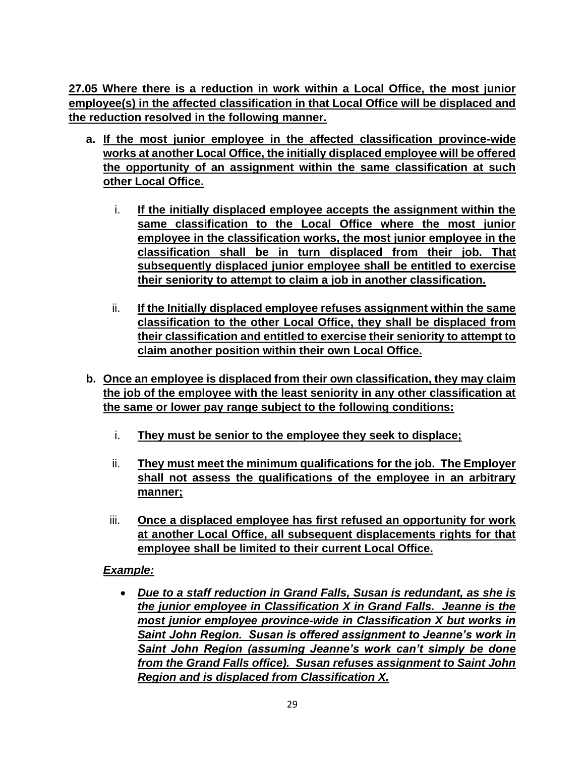**27.05 Where there is a reduction in work within a Local Office, the most junior employee(s) in the affected classification in that Local Office will be displaced and the reduction resolved in the following manner.**

- **a. If the most junior employee in the affected classification province-wide works at another Local Office, the initially displaced employee will be offered the opportunity of an assignment within the same classification at such other Local Office.**
	- i. **If the initially displaced employee accepts the assignment within the same classification to the Local Office where the most junior employee in the classification works, the most junior employee in the classification shall be in turn displaced from their job. That subsequently displaced junior employee shall be entitled to exercise their seniority to attempt to claim a job in another classification.**
	- ii. **If the Initially displaced employee refuses assignment within the same classification to the other Local Office, they shall be displaced from their classification and entitled to exercise their seniority to attempt to claim another position within their own Local Office.**
- **b. Once an employee is displaced from their own classification, they may claim the job of the employee with the least seniority in any other classification at the same or lower pay range subject to the following conditions:**
	- i. **They must be senior to the employee they seek to displace;**
	- ii. **They must meet the minimum qualifications for the job. The Employer shall not assess the qualifications of the employee in an arbitrary manner;**
	- iii. **Once a displaced employee has first refused an opportunity for work at another Local Office, all subsequent displacements rights for that employee shall be limited to their current Local Office.**

### *Example:*

• *Due to a staff reduction in Grand Falls, Susan is redundant, as she is the junior employee in Classification X in Grand Falls. Jeanne is the most junior employee province-wide in Classification X but works in Saint John Region. Susan is offered assignment to Jeanne's work in Saint John Region (assuming Jeanne's work can't simply be done from the Grand Falls office). Susan refuses assignment to Saint John Region and is displaced from Classification X.*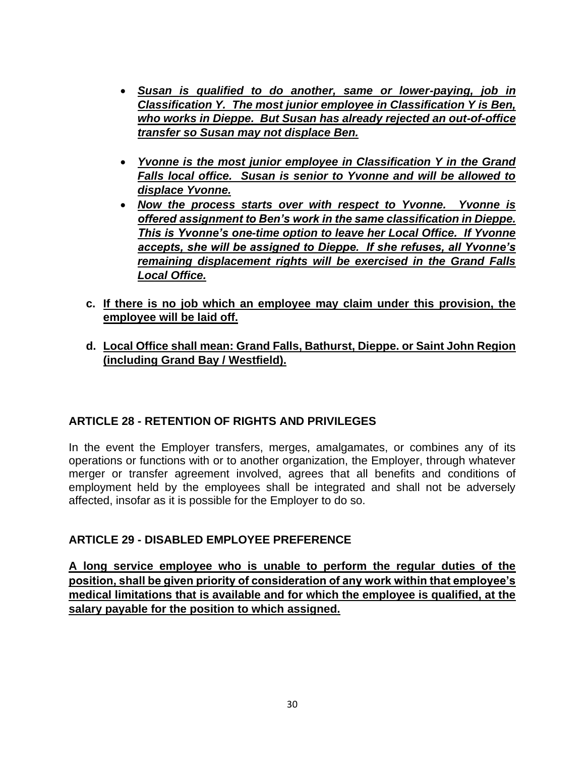- *Susan is qualified to do another, same or lower-paying, job in Classification Y. The most junior employee in Classification Y is Ben, who works in Dieppe. But Susan has already rejected an out-of-office transfer so Susan may not displace Ben.*
- *Yvonne is the most junior employee in Classification Y in the Grand Falls local office. Susan is senior to Yvonne and will be allowed to displace Yvonne.*
- *Now the process starts over with respect to Yvonne. Yvonne is offered assignment to Ben's work in the same classification in Dieppe. This is Yvonne's one-time option to leave her Local Office. If Yvonne accepts, she will be assigned to Dieppe. If she refuses, all Yvonne's remaining displacement rights will be exercised in the Grand Falls Local Office.*
- **c. If there is no job which an employee may claim under this provision, the employee will be laid off.**
- **d. Local Office shall mean: Grand Falls, Bathurst, Dieppe. or Saint John Region (including Grand Bay / Westfield).**

## <span id="page-32-0"></span>**ARTICLE 28 - RETENTION OF RIGHTS AND PRIVILEGES**

In the event the Employer transfers, merges, amalgamates, or combines any of its operations or functions with or to another organization, the Employer, through whatever merger or transfer agreement involved, agrees that all benefits and conditions of employment held by the employees shall be integrated and shall not be adversely affected, insofar as it is possible for the Employer to do so.

### <span id="page-32-1"></span>**ARTICLE 29 - DISABLED EMPLOYEE PREFERENCE**

**A long service employee who is unable to perform the regular duties of the position, shall be given priority of consideration of any work within that employee's medical limitations that is available and for which the employee is qualified, at the salary payable for the position to which assigned.**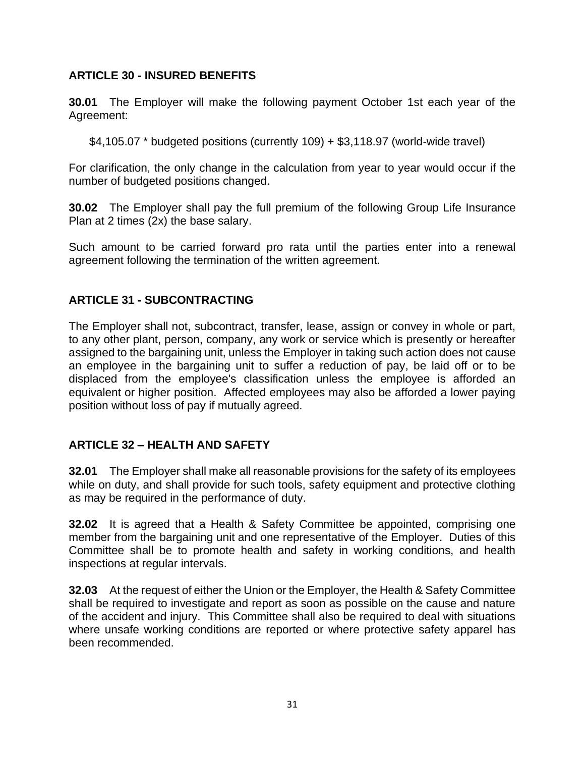#### <span id="page-33-0"></span>**ARTICLE 30 - INSURED BENEFITS**

**30.01** The Employer will make the following payment October 1st each year of the Agreement:

\$4,105.07 \* budgeted positions (currently 109) + \$3,118.97 (world-wide travel)

For clarification, the only change in the calculation from year to year would occur if the number of budgeted positions changed.

**30.02** The Employer shall pay the full premium of the following Group Life Insurance Plan at 2 times (2x) the base salary.

Such amount to be carried forward pro rata until the parties enter into a renewal agreement following the termination of the written agreement.

### <span id="page-33-1"></span>**ARTICLE 31 - SUBCONTRACTING**

The Employer shall not, subcontract, transfer, lease, assign or convey in whole or part, to any other plant, person, company, any work or service which is presently or hereafter assigned to the bargaining unit, unless the Employer in taking such action does not cause an employee in the bargaining unit to suffer a reduction of pay, be laid off or to be displaced from the employee's classification unless the employee is afforded an equivalent or higher position. Affected employees may also be afforded a lower paying position without loss of pay if mutually agreed.

### <span id="page-33-2"></span>**ARTICLE 32 – HEALTH AND SAFETY**

**32.01** The Employer shall make all reasonable provisions for the safety of its employees while on duty, and shall provide for such tools, safety equipment and protective clothing as may be required in the performance of duty.

**32.02** It is agreed that a Health & Safety Committee be appointed, comprising one member from the bargaining unit and one representative of the Employer. Duties of this Committee shall be to promote health and safety in working conditions, and health inspections at regular intervals.

**32.03** At the request of either the Union or the Employer, the Health & Safety Committee shall be required to investigate and report as soon as possible on the cause and nature of the accident and injury. This Committee shall also be required to deal with situations where unsafe working conditions are reported or where protective safety apparel has been recommended.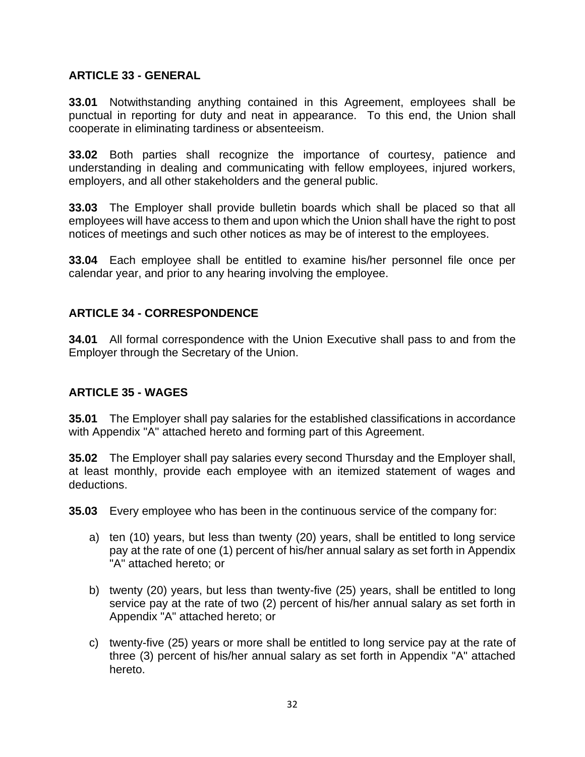#### <span id="page-34-0"></span>**ARTICLE 33 - GENERAL**

**33.01** Notwithstanding anything contained in this Agreement, employees shall be punctual in reporting for duty and neat in appearance. To this end, the Union shall cooperate in eliminating tardiness or absenteeism.

**33.02** Both parties shall recognize the importance of courtesy, patience and understanding in dealing and communicating with fellow employees, injured workers, employers, and all other stakeholders and the general public.

**33.03** The Employer shall provide bulletin boards which shall be placed so that all employees will have access to them and upon which the Union shall have the right to post notices of meetings and such other notices as may be of interest to the employees.

**33.04** Each employee shall be entitled to examine his/her personnel file once per calendar year, and prior to any hearing involving the employee.

### <span id="page-34-1"></span>**ARTICLE 34 - CORRESPONDENCE**

**34.01** All formal correspondence with the Union Executive shall pass to and from the Employer through the Secretary of the Union.

### <span id="page-34-2"></span>**ARTICLE 35 - WAGES**

**35.01** The Employer shall pay salaries for the established classifications in accordance with Appendix "A" attached hereto and forming part of this Agreement.

**35.02** The Employer shall pay salaries every second Thursday and the Employer shall, at least monthly, provide each employee with an itemized statement of wages and deductions.

**35.03** Every employee who has been in the continuous service of the company for:

- a) ten (10) years, but less than twenty (20) years, shall be entitled to long service pay at the rate of one (1) percent of his/her annual salary as set forth in Appendix "A" attached hereto; or
- b) twenty (20) years, but less than twenty-five (25) years, shall be entitled to long service pay at the rate of two (2) percent of his/her annual salary as set forth in Appendix "A" attached hereto; or
- c) twenty-five (25) years or more shall be entitled to long service pay at the rate of three (3) percent of his/her annual salary as set forth in Appendix "A" attached hereto.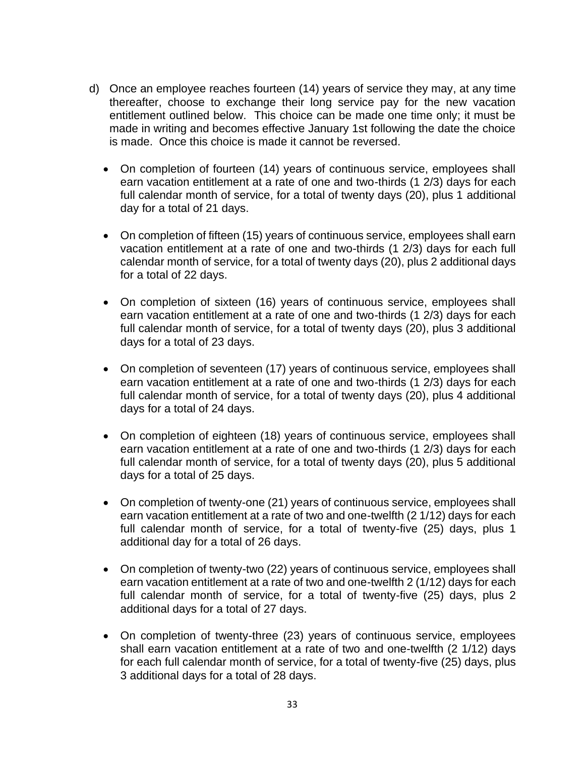- d) Once an employee reaches fourteen (14) years of service they may, at any time thereafter, choose to exchange their long service pay for the new vacation entitlement outlined below. This choice can be made one time only; it must be made in writing and becomes effective January 1st following the date the choice is made. Once this choice is made it cannot be reversed.
	- On completion of fourteen (14) years of continuous service, employees shall earn vacation entitlement at a rate of one and two-thirds (1 2/3) days for each full calendar month of service, for a total of twenty days (20), plus 1 additional day for a total of 21 days.
	- On completion of fifteen (15) years of continuous service, employees shall earn vacation entitlement at a rate of one and two-thirds (1 2/3) days for each full calendar month of service, for a total of twenty days (20), plus 2 additional days for a total of 22 days.
	- On completion of sixteen (16) years of continuous service, employees shall earn vacation entitlement at a rate of one and two-thirds (1 2/3) days for each full calendar month of service, for a total of twenty days (20), plus 3 additional days for a total of 23 days.
	- On completion of seventeen (17) years of continuous service, employees shall earn vacation entitlement at a rate of one and two-thirds (1 2/3) days for each full calendar month of service, for a total of twenty days (20), plus 4 additional days for a total of 24 days.
	- On completion of eighteen (18) years of continuous service, employees shall earn vacation entitlement at a rate of one and two-thirds (1 2/3) days for each full calendar month of service, for a total of twenty days (20), plus 5 additional days for a total of 25 days.
	- On completion of twenty-one (21) years of continuous service, employees shall earn vacation entitlement at a rate of two and one-twelfth (2 1/12) days for each full calendar month of service, for a total of twenty-five (25) days, plus 1 additional day for a total of 26 days.
	- On completion of twenty-two (22) years of continuous service, employees shall earn vacation entitlement at a rate of two and one-twelfth 2 (1/12) days for each full calendar month of service, for a total of twenty-five (25) days, plus 2 additional days for a total of 27 days.
	- On completion of twenty-three (23) years of continuous service, employees shall earn vacation entitlement at a rate of two and one-twelfth (2 1/12) days for each full calendar month of service, for a total of twenty-five (25) days, plus 3 additional days for a total of 28 days.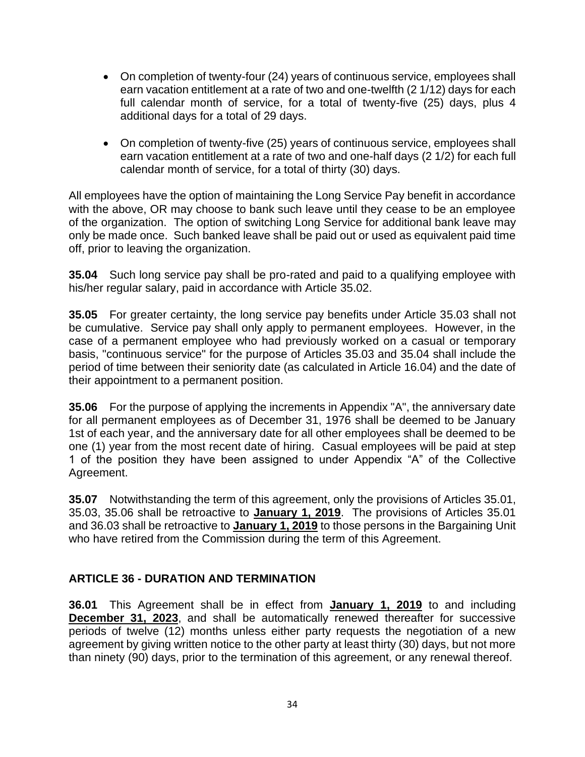- On completion of twenty-four (24) years of continuous service, employees shall earn vacation entitlement at a rate of two and one-twelfth (2 1/12) days for each full calendar month of service, for a total of twenty-five (25) days, plus 4 additional days for a total of 29 days.
- On completion of twenty-five (25) years of continuous service, employees shall earn vacation entitlement at a rate of two and one-half days (2 1/2) for each full calendar month of service, for a total of thirty (30) days.

All employees have the option of maintaining the Long Service Pay benefit in accordance with the above, OR may choose to bank such leave until they cease to be an employee of the organization. The option of switching Long Service for additional bank leave may only be made once. Such banked leave shall be paid out or used as equivalent paid time off, prior to leaving the organization.

**35.04** Such long service pay shall be pro-rated and paid to a qualifying employee with his/her regular salary, paid in accordance with Article 35.02.

**35.05** For greater certainty, the long service pay benefits under Article 35.03 shall not be cumulative. Service pay shall only apply to permanent employees. However, in the case of a permanent employee who had previously worked on a casual or temporary basis, "continuous service" for the purpose of Articles 35.03 and 35.04 shall include the period of time between their seniority date (as calculated in Article 16.04) and the date of their appointment to a permanent position.

**35.06** For the purpose of applying the increments in Appendix "A", the anniversary date for all permanent employees as of December 31, 1976 shall be deemed to be January 1st of each year, and the anniversary date for all other employees shall be deemed to be one (1) year from the most recent date of hiring. Casual employees will be paid at step 1 of the position they have been assigned to under Appendix "A" of the Collective Agreement.

**35.07** Notwithstanding the term of this agreement, only the provisions of Articles 35.01, 35.03, 35.06 shall be retroactive to **January 1, 2019**. The provisions of Articles 35.01 and 36.03 shall be retroactive to **January 1, 2019** to those persons in the Bargaining Unit who have retired from the Commission during the term of this Agreement.

### <span id="page-36-0"></span>**ARTICLE 36 - DURATION AND TERMINATION**

**36.01** This Agreement shall be in effect from **January 1, 2019** to and including **December 31, 2023**, and shall be automatically renewed thereafter for successive periods of twelve (12) months unless either party requests the negotiation of a new agreement by giving written notice to the other party at least thirty (30) days, but not more than ninety (90) days, prior to the termination of this agreement, or any renewal thereof.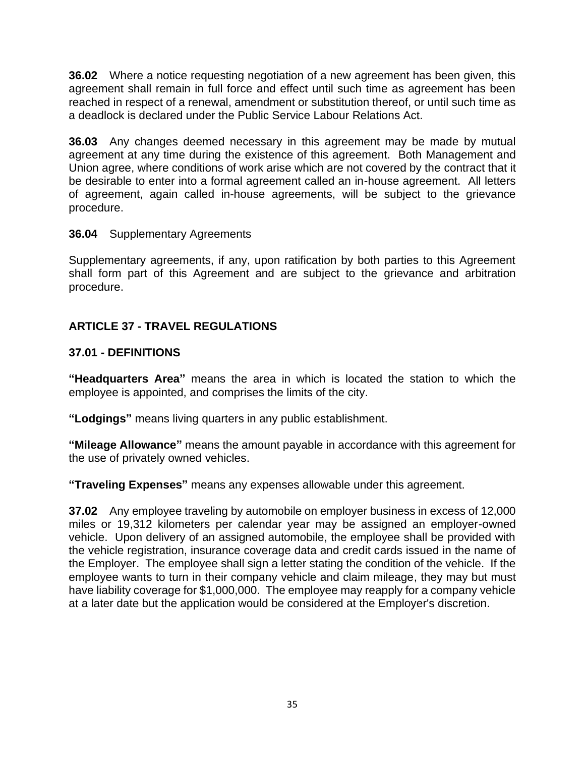**36.02** Where a notice requesting negotiation of a new agreement has been given, this agreement shall remain in full force and effect until such time as agreement has been reached in respect of a renewal, amendment or substitution thereof, or until such time as a deadlock is declared under the Public Service Labour Relations Act.

**36.03** Any changes deemed necessary in this agreement may be made by mutual agreement at any time during the existence of this agreement. Both Management and Union agree, where conditions of work arise which are not covered by the contract that it be desirable to enter into a formal agreement called an in-house agreement. All letters of agreement, again called in-house agreements, will be subject to the grievance procedure.

#### **36.04** Supplementary Agreements

Supplementary agreements, if any, upon ratification by both parties to this Agreement shall form part of this Agreement and are subject to the grievance and arbitration procedure.

## <span id="page-37-0"></span>**ARTICLE 37 - TRAVEL REGULATIONS**

### **37.01 - DEFINITIONS**

**"Headquarters Area"** means the area in which is located the station to which the employee is appointed, and comprises the limits of the city.

**"Lodgings"** means living quarters in any public establishment.

**"Mileage Allowance"** means the amount payable in accordance with this agreement for the use of privately owned vehicles.

**"Traveling Expenses"** means any expenses allowable under this agreement.

**37.02** Any employee traveling by automobile on employer business in excess of 12,000 miles or 19,312 kilometers per calendar year may be assigned an employer-owned vehicle. Upon delivery of an assigned automobile, the employee shall be provided with the vehicle registration, insurance coverage data and credit cards issued in the name of the Employer. The employee shall sign a letter stating the condition of the vehicle. If the employee wants to turn in their company vehicle and claim mileage, they may but must have liability coverage for \$1,000,000. The employee may reapply for a company vehicle at a later date but the application would be considered at the Employer's discretion.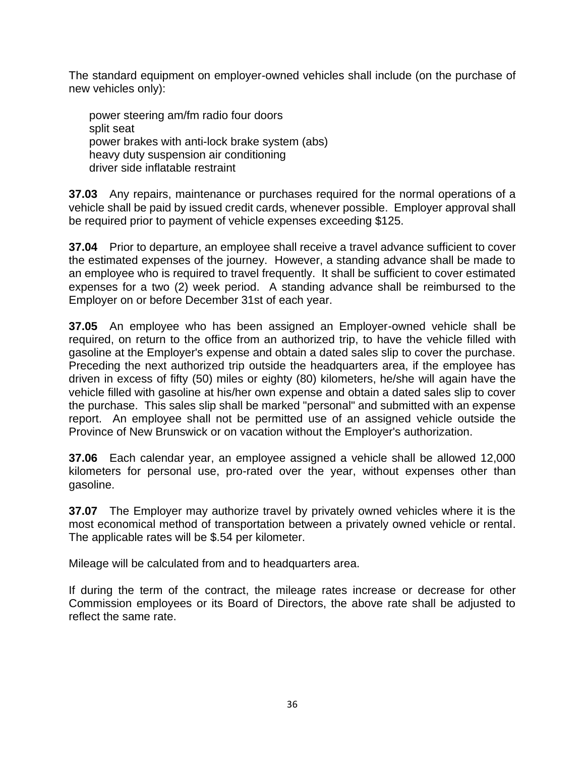The standard equipment on employer-owned vehicles shall include (on the purchase of new vehicles only):

power steering am/fm radio four doors split seat power brakes with anti-lock brake system (abs) heavy duty suspension air conditioning driver side inflatable restraint

**37.03** Any repairs, maintenance or purchases required for the normal operations of a vehicle shall be paid by issued credit cards, whenever possible. Employer approval shall be required prior to payment of vehicle expenses exceeding \$125.

**37.04** Prior to departure, an employee shall receive a travel advance sufficient to cover the estimated expenses of the journey. However, a standing advance shall be made to an employee who is required to travel frequently. It shall be sufficient to cover estimated expenses for a two (2) week period. A standing advance shall be reimbursed to the Employer on or before December 31st of each year.

**37.05** An employee who has been assigned an Employer-owned vehicle shall be required, on return to the office from an authorized trip, to have the vehicle filled with gasoline at the Employer's expense and obtain a dated sales slip to cover the purchase. Preceding the next authorized trip outside the headquarters area, if the employee has driven in excess of fifty (50) miles or eighty (80) kilometers, he/she will again have the vehicle filled with gasoline at his/her own expense and obtain a dated sales slip to cover the purchase. This sales slip shall be marked "personal" and submitted with an expense report. An employee shall not be permitted use of an assigned vehicle outside the Province of New Brunswick or on vacation without the Employer's authorization.

**37.06** Each calendar year, an employee assigned a vehicle shall be allowed 12,000 kilometers for personal use, pro-rated over the year, without expenses other than gasoline.

**37.07** The Employer may authorize travel by privately owned vehicles where it is the most economical method of transportation between a privately owned vehicle or rental. The applicable rates will be \$.54 per kilometer.

Mileage will be calculated from and to headquarters area.

If during the term of the contract, the mileage rates increase or decrease for other Commission employees or its Board of Directors, the above rate shall be adjusted to reflect the same rate.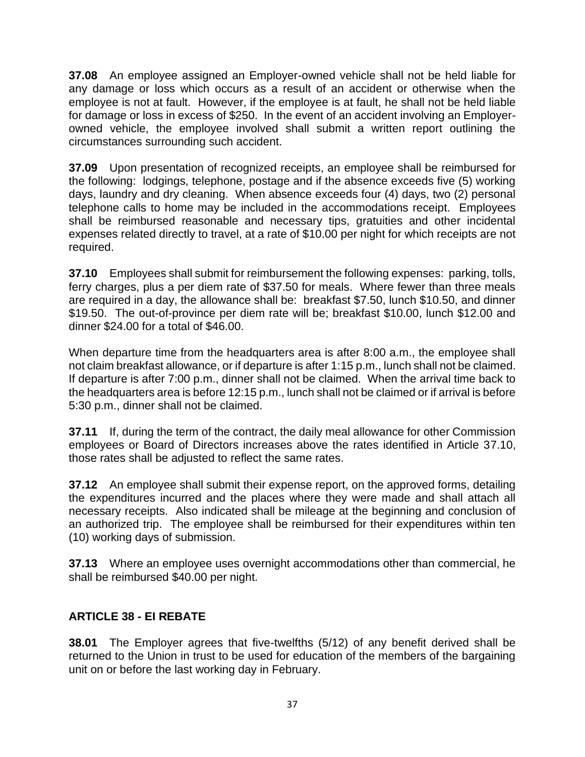**37.08** An employee assigned an Employer-owned vehicle shall not be held liable for any damage or loss which occurs as a result of an accident or otherwise when the employee is not at fault. However, if the employee is at fault, he shall not be held liable for damage or loss in excess of \$250. In the event of an accident involving an Employerowned vehicle, the employee involved shall submit a written report outlining the circumstances surrounding such accident.

**37.09** Upon presentation of recognized receipts, an employee shall be reimbursed for the following: lodgings, telephone, postage and if the absence exceeds five (5) working days, laundry and dry cleaning. When absence exceeds four (4) days, two (2) personal telephone calls to home may be included in the accommodations receipt. Employees shall be reimbursed reasonable and necessary tips, gratuities and other incidental expenses related directly to travel, at a rate of \$10.00 per night for which receipts are not required.

**37.10** Employees shall submit for reimbursement the following expenses: parking, tolls, ferry charges, plus a per diem rate of \$37.50 for meals. Where fewer than three meals are required in a day, the allowance shall be: breakfast \$7.50, lunch \$10.50, and dinner \$19.50. The out-of-province per diem rate will be; breakfast \$10.00, lunch \$12.00 and dinner \$24.00 for a total of \$46.00.

When departure time from the headquarters area is after 8:00 a.m., the employee shall not claim breakfast allowance, or if departure is after 1:15 p.m., lunch shall not be claimed. If departure is after 7:00 p.m., dinner shall not be claimed. When the arrival time back to the headquarters area is before 12:15 p.m., lunch shall not be claimed or if arrival is before 5:30 p.m., dinner shall not be claimed.

**37.11** If, during the term of the contract, the daily meal allowance for other Commission employees or Board of Directors increases above the rates identified in Article 37.10, those rates shall be adjusted to reflect the same rates.

**37.12** An employee shall submit their expense report, on the approved forms, detailing the expenditures incurred and the places where they were made and shall attach all necessary receipts. Also indicated shall be mileage at the beginning and conclusion of an authorized trip. The employee shall be reimbursed for their expenditures within ten (10) working days of submission.

**37.13** Where an employee uses overnight accommodations other than commercial, he shall be reimbursed \$40.00 per night.

## <span id="page-39-0"></span>**ARTICLE 38 - EI REBATE**

**38.01** The Employer agrees that five-twelfths (5/12) of any benefit derived shall be returned to the Union in trust to be used for education of the members of the bargaining unit on or before the last working day in February.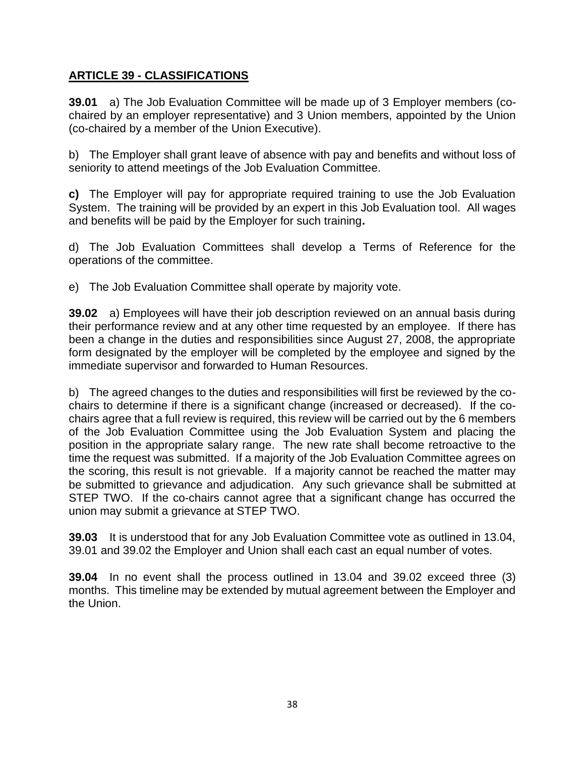## <span id="page-40-0"></span>**ARTICLE 39 - CLASSIFICATIONS**

**39.01** a) The Job Evaluation Committee will be made up of 3 Employer members (cochaired by an employer representative) and 3 Union members, appointed by the Union (co-chaired by a member of the Union Executive).

b) The Employer shall grant leave of absence with pay and benefits and without loss of seniority to attend meetings of the Job Evaluation Committee.

**c)** The Employer will pay for appropriate required training to use the Job Evaluation System. The training will be provided by an expert in this Job Evaluation tool. All wages and benefits will be paid by the Employer for such training**.**

d) The Job Evaluation Committees shall develop a Terms of Reference for the operations of the committee.

e) The Job Evaluation Committee shall operate by majority vote.

**39.02** a) Employees will have their job description reviewed on an annual basis during their performance review and at any other time requested by an employee. If there has been a change in the duties and responsibilities since August 27, 2008, the appropriate form designated by the employer will be completed by the employee and signed by the immediate supervisor and forwarded to Human Resources.

b) The agreed changes to the duties and responsibilities will first be reviewed by the cochairs to determine if there is a significant change (increased or decreased). If the cochairs agree that a full review is required, this review will be carried out by the 6 members of the Job Evaluation Committee using the Job Evaluation System and placing the position in the appropriate salary range. The new rate shall become retroactive to the time the request was submitted. If a majority of the Job Evaluation Committee agrees on the scoring, this result is not grievable. If a majority cannot be reached the matter may be submitted to grievance and adjudication. Any such grievance shall be submitted at STEP TWO. If the co-chairs cannot agree that a significant change has occurred the union may submit a grievance at STEP TWO.

**39.03** It is understood that for any Job Evaluation Committee vote as outlined in 13.04, 39.01 and 39.02 the Employer and Union shall each cast an equal number of votes.

**39.04** In no event shall the process outlined in 13.04 and 39.02 exceed three (3) months. This timeline may be extended by mutual agreement between the Employer and the Union.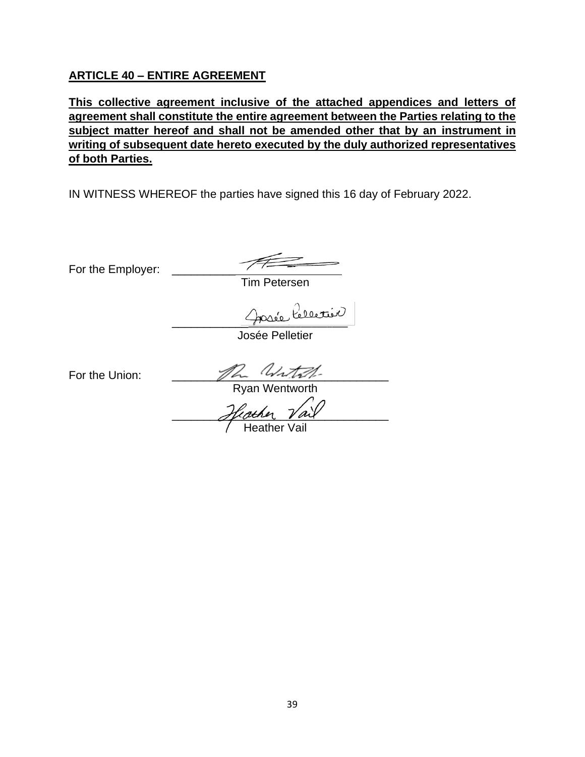#### <span id="page-41-0"></span>**ARTICLE 40 – ENTIRE AGREEMENT**

**This collective agreement inclusive of the attached appendices and letters of agreement shall constitute the entire agreement between the Parties relating to the subject matter hereof and shall not be amended other that by an instrument in writing of subsequent date hereto executed by the duly authorized representatives of both Parties.**

IN WITNESS WHEREOF the parties have signed this 16 day of February 2022.

For the Employer:

Tim Petersen

Josée Celectivo

Josée Pelletier

For the Union:  $\frac{1}{\sqrt{2}}$ 

Ryan Wentworth

Hicther Vail

Heather Vail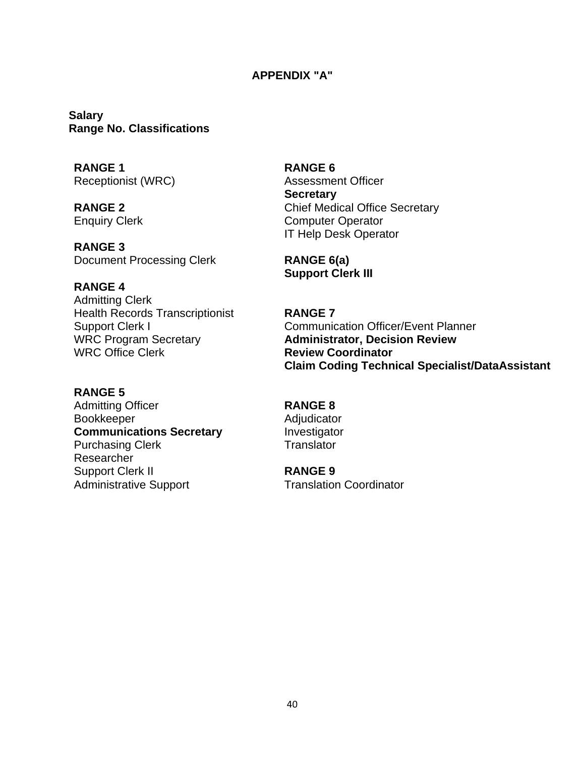#### **APPENDIX "A"**

<span id="page-42-0"></span>**Salary Range No. Classifications**

**RANGE 1 RANGE 6**

**RANGE 3** Document Processing Clerk

**RANGE 4**

Admitting Clerk Health Records Transcriptionist **RANGE 7** WRC Program Secretary WRC Office Clerk

#### **RANGE 5**

Admitting Officer **RANGE 8** Bookkeeper **Adjudicator** Adjudicator **Communications Secretary Manufacturist Investigator** Purchasing Clerk Translator Researcher Support Clerk II Administrative Support

Receptionist (WRC) Assessment Officer **Secretary RANGE 2** Chief Medical Office Secretary Enquiry Clerk Computer Operator IT Help Desk Operator

> **RANGE 6(a) Support Clerk III**

Support Clerk I Communication Officer/Event Planner **Administrator, Decision Review Review Coordinator Claim Coding Technical Specialist/DataAssistant**

**RANGE 9**

Translation Coordinator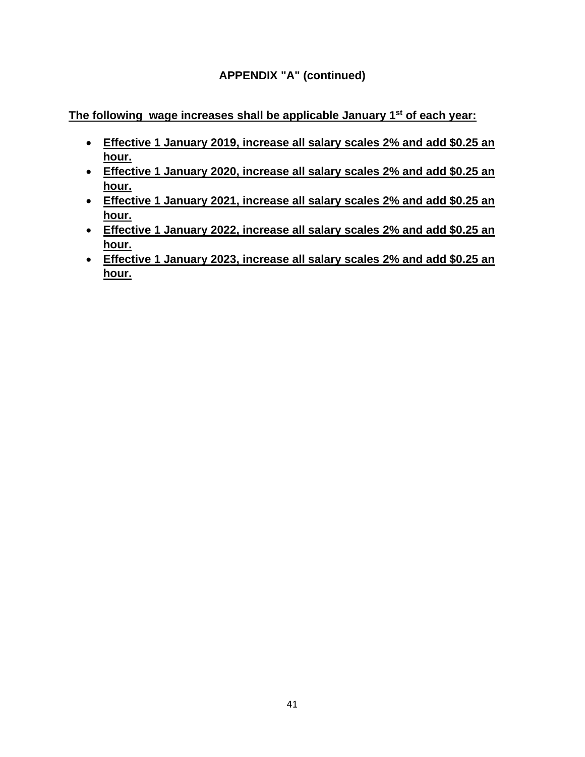**The following wage increases shall be applicable January 1st of each year:**

- **Effective 1 January 2019, increase all salary scales 2% and add \$0.25 an hour.**
- **Effective 1 January 2020, increase all salary scales 2% and add \$0.25 an hour.**
- **Effective 1 January 2021, increase all salary scales 2% and add \$0.25 an hour.**
- **Effective 1 January 2022, increase all salary scales 2% and add \$0.25 an hour.**
- **Effective 1 January 2023, increase all salary scales 2% and add \$0.25 an hour.**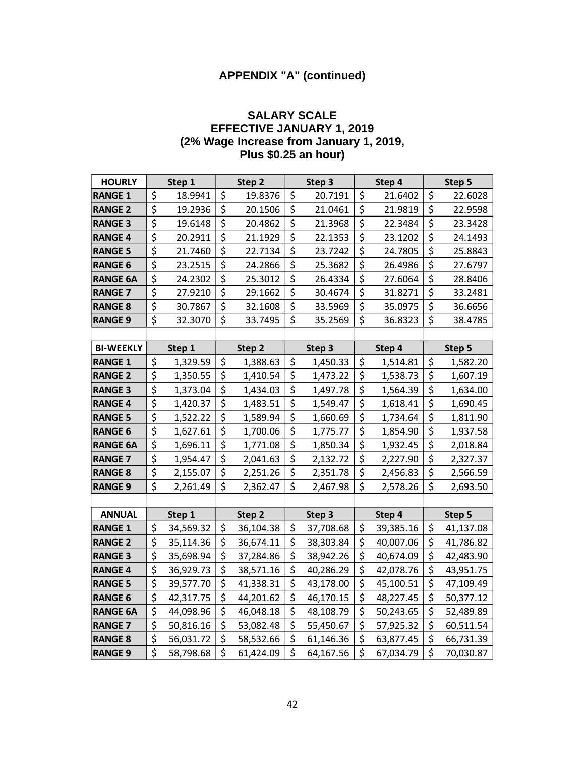#### **SALARY SCALE EFFECTIVE JANUARY 1, 2019 (2% Wage Increase from January 1, 2019, Plus \$0.25 an hour)**

| <b>HOURLY</b>    |                                 | Step 1    | Step 2          | Step 3          |                                 | Step 4    |                                 | Step 5    |
|------------------|---------------------------------|-----------|-----------------|-----------------|---------------------------------|-----------|---------------------------------|-----------|
| <b>RANGE 1</b>   | \$                              | 18.9941   | \$<br>19.8376   | \$<br>20.7191   | \$                              | 21.6402   | \$                              | 22.6028   |
| <b>RANGE 2</b>   | \$                              | 19.2936   | \$<br>20.1506   | \$<br>21.0461   | \$                              | 21.9819   | \$                              | 22.9598   |
| <b>RANGE 3</b>   | \$                              | 19.6148   | \$<br>20.4862   | \$<br>21.3968   | \$                              | 22.3484   | \$                              | 23.3428   |
| <b>RANGE 4</b>   | \$                              | 20.2911   | \$<br>21.1929   | \$<br>22.1353   | \$                              | 23.1202   | \$                              | 24.1493   |
| <b>RANGE 5</b>   | \$                              | 21.7460   | \$<br>22.7134   | \$<br>23.7242   | \$                              | 24.7805   | \$                              | 25.8843   |
| <b>RANGE 6</b>   | \$                              | 23.2515   | \$<br>24.2866   | \$<br>25.3682   | \$                              | 26.4986   | \$                              | 27.6797   |
| <b>RANGE 6A</b>  | $\overline{\boldsymbol{\zeta}}$ | 24.2302   | \$<br>25.3012   | \$<br>26.4334   | \$                              | 27.6064   | $\overline{\boldsymbol{\zeta}}$ | 28.8406   |
| <b>RANGE 7</b>   | \$                              | 27.9210   | \$<br>29.1662   | \$<br>30.4674   | \$                              | 31.8271   | \$                              | 33.2481   |
| <b>RANGE 8</b>   | \$                              | 30.7867   | \$<br>32.1608   | \$<br>33.5969   | \$                              | 35.0975   | \$                              | 36.6656   |
| <b>RANGE 9</b>   | \$                              | 32.3070   | \$<br>33.7495   | \$<br>35.2569   | \$                              | 36.8323   | \$                              | 38.4785   |
|                  |                                 |           |                 |                 |                                 |           |                                 |           |
| <b>BI-WEEKLY</b> |                                 | Step 1    | Step 2          | Step 3          |                                 | Step 4    |                                 | Step 5    |
| <b>RANGE 1</b>   | \$                              | 1,329.59  | \$<br>1,388.63  | \$<br>1,450.33  | \$                              | 1,514.81  | \$                              | 1,582.20  |
| <b>RANGE 2</b>   | $\overline{\xi}$                | 1,350.55  | \$<br>1,410.54  | \$<br>1,473.22  | \$                              | 1,538.73  | \$                              | 1,607.19  |
| <b>RANGE 3</b>   | $\overline{\xi}$                | 1,373.04  | \$<br>1,434.03  | \$<br>1,497.78  | \$                              | 1,564.39  | \$                              | 1,634.00  |
| <b>RANGE 4</b>   | \$                              | 1,420.37  | \$<br>1,483.51  | \$<br>1,549.47  | \$                              | 1,618.41  | \$                              | 1,690.45  |
| <b>RANGE 5</b>   | \$                              | 1,522.22  | \$<br>1,589.94  | \$<br>1,660.69  | \$                              | 1,734.64  | \$                              | 1,811.90  |
| <b>RANGE 6</b>   | $\overline{\boldsymbol{\zeta}}$ | 1,627.61  | \$<br>1,700.06  | \$<br>1,775.77  | $\overline{\boldsymbol{\zeta}}$ | 1,854.90  | $\overline{\boldsymbol{\zeta}}$ | 1,937.58  |
| <b>RANGE 6A</b>  | \$                              | 1,696.11  | \$<br>1,771.08  | \$<br>1,850.34  | \$                              | 1,932.45  | \$                              | 2,018.84  |
| <b>RANGE 7</b>   | $\overline{\xi}$                | 1,954.47  | \$<br>2,041.63  | \$<br>2,132.72  | \$                              | 2,227.90  | \$                              | 2,327.37  |
| <b>RANGE 8</b>   | $\overline{\boldsymbol{\zeta}}$ | 2,155.07  | \$<br>2,251.26  | \$<br>2,351.78  | \$                              | 2,456.83  | \$                              | 2,566.59  |
| <b>RANGE 9</b>   | \$                              | 2,261.49  | \$<br>2,362.47  | \$<br>2,467.98  | \$                              | 2,578.26  | \$                              | 2,693.50  |
|                  |                                 |           |                 |                 |                                 |           |                                 |           |
| <b>ANNUAL</b>    |                                 | Step 1    | Step 2          | Step 3          |                                 | Step 4    |                                 | Step 5    |
| <b>RANGE 1</b>   | \$                              | 34,569.32 | \$<br>36,104.38 | \$<br>37,708.68 | \$                              | 39,385.16 | \$                              | 41,137.08 |
| <b>RANGE 2</b>   | \$                              | 35,114.36 | \$<br>36,674.11 | \$<br>38,303.84 | \$                              | 40,007.06 | \$                              | 41,786.82 |
| <b>RANGE 3</b>   | $\overline{\xi}$                | 35,698.94 | \$<br>37,284.86 | \$<br>38,942.26 | \$                              | 40,674.09 | \$                              | 42,483.90 |
| <b>RANGE 4</b>   | \$                              | 36,929.73 | \$<br>38,571.16 | \$<br>40,286.29 | \$                              | 42,078.76 | \$                              | 43,951.75 |
| <b>RANGE 5</b>   | \$                              | 39,577.70 | \$<br>41,338.31 | \$<br>43,178.00 | \$                              | 45,100.51 | \$                              | 47,109.49 |
| <b>RANGE 6</b>   | \$                              | 42,317.75 | \$<br>44,201.62 | \$<br>46,170.15 | \$                              | 48,227.45 | \$                              | 50,377.12 |
| <b>RANGE 6A</b>  | \$                              | 44,098.96 | \$<br>46,048.18 | \$<br>48,108.79 | \$                              | 50,243.65 | \$                              | 52,489.89 |
| <b>RANGE 7</b>   | \$                              | 50,816.16 | \$<br>53,082.48 | \$<br>55,450.67 | \$                              | 57,925.32 | \$                              | 60,511.54 |
| <b>RANGE 8</b>   | \$                              | 56,031.72 | \$<br>58,532.66 | \$<br>61,146.36 | \$                              | 63,877.45 | \$                              | 66,731.39 |
| <b>RANGE 9</b>   | \$                              | 58,798.68 | \$<br>61,424.09 | \$<br>64,167.56 | \$                              | 67,034.79 | \$                              | 70,030.87 |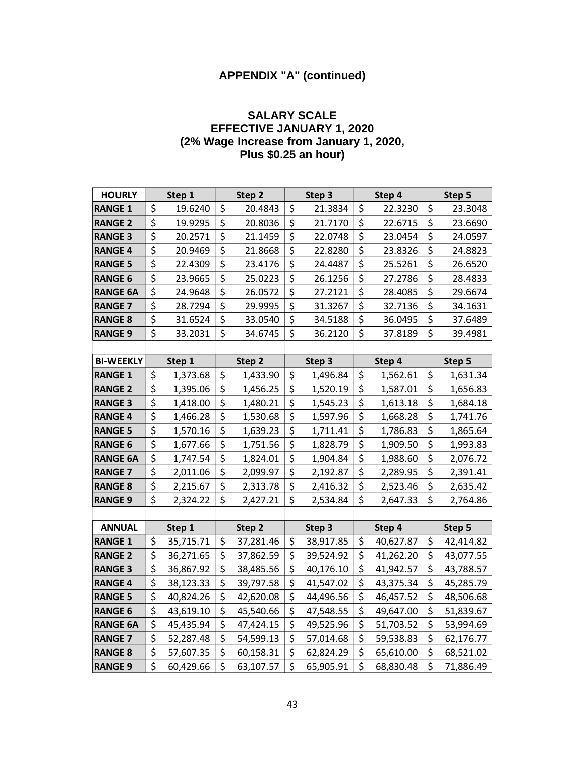#### **SALARY SCALE EFFECTIVE JANUARY 1, 2020 (2% Wage Increase from January 1, 2020, Plus \$0.25 an hour)**

| <b>HOURLY</b>    |                                 | Step 1    | Step 2          |                  | Step 3    |                                 | Step 4    |                                 | Step 5    |
|------------------|---------------------------------|-----------|-----------------|------------------|-----------|---------------------------------|-----------|---------------------------------|-----------|
| <b>RANGE 1</b>   | \$                              | 19.6240   | \$<br>20.4843   | \$               | 21.3834   | \$                              | 22.3230   | \$                              | 23.3048   |
| <b>RANGE 2</b>   | \$                              | 19.9295   | \$<br>20.8036   | \$               | 21.7170   | \$                              | 22.6715   | \$                              | 23.6690   |
| <b>RANGE 3</b>   | \$                              | 20.2571   | \$<br>21.1459   | \$               | 22.0748   | \$                              | 23.0454   | \$                              | 24.0597   |
| <b>RANGE 4</b>   | \$                              | 20.9469   | \$<br>21.8668   | \$               | 22.8280   | \$                              | 23.8326   | \$                              | 24.8823   |
| <b>RANGE 5</b>   | $\overline{\xi}$                | 22.4309   | \$<br>23.4176   | \$               | 24.4487   | $\overline{\mathsf{S}}$         | 25.5261   | $\overline{\xi}$                | 26.6520   |
| <b>RANGE 6</b>   | \$                              | 23.9665   | \$<br>25.0223   | \$               | 26.1256   | \$                              | 27.2786   | \$                              | 28.4833   |
| <b>RANGE 6A</b>  | $\overline{\xi}$                | 24.9648   | \$<br>26.0572   | $\overline{\xi}$ | 27.2121   | $\overline{\xi}$                | 28.4085   | \$                              | 29.6674   |
| <b>RANGE 7</b>   | \$                              | 28.7294   | \$<br>29.9995   | \$               | 31.3267   | \$                              | 32.7136   | \$                              | 34.1631   |
| <b>RANGE 8</b>   | \$                              | 31.6524   | \$<br>33.0540   | \$               | 34.5188   | \$                              | 36.0495   | \$                              | 37.6489   |
| <b>RANGE 9</b>   | $\overline{\boldsymbol{\zeta}}$ | 33.2031   | \$<br>34.6745   | \$               | 36.2120   | \$                              | 37.8189   | \$                              | 39.4981   |
|                  |                                 |           |                 |                  |           |                                 |           |                                 |           |
| <b>BI-WEEKLY</b> |                                 | Step 1    | Step 2          |                  | Step 3    |                                 | Step 4    |                                 | Step 5    |
| <b>RANGE 1</b>   | \$                              | 1,373.68  | \$<br>1,433.90  | \$               | 1,496.84  | \$                              | 1,562.61  | \$                              | 1,631.34  |
| <b>RANGE 2</b>   | $\overline{\boldsymbol{\zeta}}$ | 1,395.06  | \$<br>1,456.25  | \$               | 1,520.19  | \$                              | 1,587.01  | \$                              | 1,656.83  |
| <b>RANGE 3</b>   | \$                              | 1,418.00  | \$<br>1,480.21  | \$               | 1,545.23  | \$                              | 1,613.18  | \$                              | 1,684.18  |
| <b>RANGE 4</b>   | $\overline{\mathsf{S}}$         | 1,466.28  | \$<br>1,530.68  | \$               | 1,597.96  | \$                              | 1,668.28  | \$                              | 1,741.76  |
| <b>RANGE 5</b>   | \$                              | 1,570.16  | \$<br>1,639.23  | \$               | 1,711.41  | \$                              | 1,786.83  | \$                              | 1,865.64  |
| <b>RANGE 6</b>   | \$                              | 1,677.66  | \$<br>1,751.56  | \$               | 1,828.79  | \$                              | 1,909.50  | \$                              | 1,993.83  |
| <b>RANGE 6A</b>  | \$                              | 1,747.54  | \$<br>1,824.01  | \$               | 1,904.84  | $\overline{\xi}$                | 1,988.60  | $\overline{\boldsymbol{\zeta}}$ | 2,076.72  |
| <b>RANGE 7</b>   | \$                              | 2,011.06  | \$<br>2,099.97  | \$               | 2,192.87  | $\overline{\boldsymbol{\zeta}}$ | 2,289.95  | \$                              | 2,391.41  |
| <b>RANGE 8</b>   | \$                              | 2,215.67  | \$<br>2,313.78  | \$               | 2,416.32  | \$                              | 2,523.46  | \$                              | 2,635.42  |
| <b>RANGE 9</b>   | \$                              | 2,324.22  | \$<br>2,427.21  | \$               | 2,534.84  | \$                              | 2,647.33  | \$                              | 2,764.86  |
|                  |                                 |           |                 |                  |           |                                 |           |                                 |           |
| <b>ANNUAL</b>    |                                 | Step 1    | Step 2          |                  | Step 3    |                                 | Step 4    |                                 | Step 5    |
| <b>RANGE 1</b>   | \$                              | 35,715.71 | \$<br>37,281.46 | \$               | 38,917.85 | \$                              | 40,627.87 | \$                              | 42,414.82 |
| <b>RANGE 2</b>   | \$                              | 36,271.65 | \$<br>37,862.59 | \$               | 39,524.92 | \$                              | 41,262.20 | \$                              | 43,077.55 |
| <b>RANGE 3</b>   | \$                              | 36,867.92 | \$<br>38,485.56 | \$               | 40,176.10 | $\overline{\boldsymbol{\zeta}}$ | 41,942.57 | \$                              | 43,788.57 |
| <b>RANGE 4</b>   | \$                              | 38,123.33 | \$<br>39,797.58 | \$               | 41,547.02 | $\overline{\xi}$                | 43,375.34 | \$                              | 45,285.79 |
| <b>RANGE 5</b>   | \$                              | 40,824.26 | \$<br>42,620.08 | \$               | 44,496.56 | \$                              | 46,457.52 | \$                              | 48,506.68 |
| <b>RANGE 6</b>   | \$                              | 43,619.10 | \$<br>45,540.66 | \$               | 47,548.55 | \$                              | 49,647.00 | \$                              | 51,839.67 |
| <b>RANGE 6A</b>  | \$                              | 45,435.94 | \$<br>47,424.15 | \$               | 49,525.96 | $\overline{\xi}$                | 51,703.52 | \$                              | 53,994.69 |
| <b>RANGE 7</b>   | \$                              | 52,287.48 | \$<br>54,599.13 | \$               | 57,014.68 | \$                              | 59,538.83 | \$                              | 62,176.77 |
| <b>RANGE 8</b>   | \$                              | 57,607.35 | \$<br>60,158.31 | \$               | 62,824.29 | \$                              | 65,610.00 | \$                              | 68,521.02 |
| <b>RANGE 9</b>   | $\overline{\mathsf{S}}$         | 60,429.66 | \$<br>63,107.57 | \$               | 65,905.91 | $\overline{\mathsf{S}}$         | 68,830.48 | $\overline{\mathsf{S}}$         | 71,886.49 |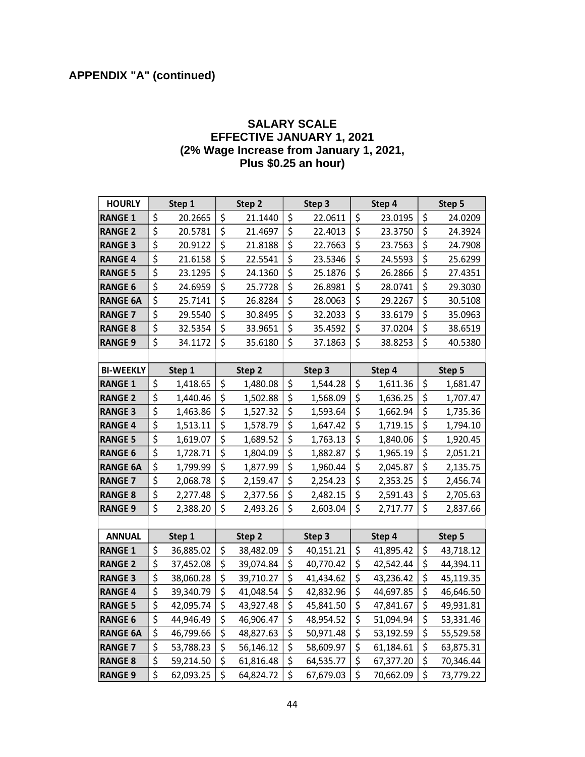#### **SALARY SCALE EFFECTIVE JANUARY 1, 2021 (2% Wage Increase from January 1, 2021, Plus \$0.25 an hour)**

| <b>HOURLY</b>    |                                 | Step 1    |                                 | Step <sub>2</sub> | Step 3          |                                 | Step 4    | Step 5          |
|------------------|---------------------------------|-----------|---------------------------------|-------------------|-----------------|---------------------------------|-----------|-----------------|
| <b>RANGE 1</b>   | \$                              | 20.2665   | \$                              | 21.1440           | \$<br>22.0611   | \$                              | 23.0195   | \$<br>24.0209   |
| <b>RANGE 2</b>   | \$                              | 20.5781   | \$                              | 21.4697           | \$<br>22.4013   | \$                              | 23.3750   | \$<br>24.3924   |
| <b>RANGE 3</b>   | \$                              | 20.9122   | \$                              | 21.8188           | \$<br>22.7663   | \$                              | 23.7563   | \$<br>24.7908   |
| <b>RANGE 4</b>   | $\overline{\boldsymbol{\zeta}}$ | 21.6158   | $\overline{\xi}$                | 22.5541           | \$<br>23.5346   | $\overline{\xi}$                | 24.5593   | \$<br>25.6299   |
| <b>RANGE 5</b>   | $\overline{\xi}$                | 23.1295   | \$                              | 24.1360           | \$<br>25.1876   | \$                              | 26.2866   | \$<br>27.4351   |
| <b>RANGE 6</b>   | \$                              | 24.6959   | \$                              | 25.7728           | \$<br>26.8981   | $\overline{\xi}$                | 28.0741   | \$<br>29.3030   |
| <b>RANGE 6A</b>  | $\overline{\boldsymbol{\zeta}}$ | 25.7141   | $\overline{\xi}$                | 26.8284           | \$<br>28.0063   | $\overline{\xi}$                | 29.2267   | \$<br>30.5108   |
| <b>RANGE 7</b>   | \$                              | 29.5540   | \$                              | 30.8495           | \$<br>32.2033   | \$                              | 33.6179   | \$<br>35.0963   |
| <b>RANGE 8</b>   | $\overline{\xi}$                | 32.5354   | \$                              | 33.9651           | \$<br>35.4592   | \$                              | 37.0204   | \$<br>38.6519   |
| <b>RANGE 9</b>   | \$                              | 34.1172   | \$                              | 35.6180           | \$<br>37.1863   | \$                              | 38.8253   | \$<br>40.5380   |
|                  |                                 |           |                                 |                   |                 |                                 |           |                 |
| <b>BI-WEEKLY</b> |                                 | Step 1    |                                 | Step 2            | Step 3          |                                 | Step 4    | Step 5          |
| <b>RANGE 1</b>   | \$                              | 1,418.65  | \$                              | 1,480.08          | \$<br>1,544.28  | \$                              | 1,611.36  | \$<br>1,681.47  |
| <b>RANGE 2</b>   | \$                              | 1,440.46  | \$                              | 1,502.88          | \$<br>1,568.09  | \$                              | 1,636.25  | \$<br>1,707.47  |
| <b>RANGE 3</b>   | \$                              | 1,463.86  | \$                              | 1,527.32          | \$<br>1,593.64  | \$                              | 1,662.94  | \$<br>1,735.36  |
| <b>RANGE 4</b>   | \$                              | 1,513.11  | \$                              | 1,578.79          | \$<br>1,647.42  | \$                              | 1,719.15  | \$<br>1,794.10  |
| <b>RANGE 5</b>   | \$                              | 1,619.07  | \$                              | 1,689.52          | \$<br>1,763.13  | \$                              | 1,840.06  | \$<br>1,920.45  |
| <b>RANGE 6</b>   | $\overline{\boldsymbol{\zeta}}$ | 1,728.71  | \$                              | 1,804.09          | \$<br>1,882.87  | \$                              | 1,965.19  | \$<br>2,051.21  |
| <b>RANGE 6A</b>  | $\overline{\boldsymbol{\zeta}}$ | 1,799.99  | $\overline{\boldsymbol{\zeta}}$ | 1,877.99          | \$<br>1,960.44  | \$                              | 2,045.87  | \$<br>2,135.75  |
| <b>RANGE 7</b>   | $\overline{\boldsymbol{\zeta}}$ | 2,068.78  | $\overline{\xi}$                | 2,159.47          | \$<br>2,254.23  | $\overline{\boldsymbol{\zeta}}$ | 2,353.25  | \$<br>2,456.74  |
| <b>RANGE 8</b>   | \$                              | 2,277.48  | \$                              | 2,377.56          | \$<br>2,482.15  | \$                              | 2,591.43  | \$<br>2,705.63  |
| <b>RANGE 9</b>   | $\overline{\xi}$                | 2,388.20  | \$                              | 2,493.26          | \$<br>2,603.04  | \$                              | 2,717.77  | \$<br>2,837.66  |
|                  |                                 |           |                                 |                   |                 |                                 |           |                 |
| <b>ANNUAL</b>    |                                 | Step 1    |                                 | Step 2            | Step 3          |                                 | Step 4    | Step 5          |
| <b>RANGE 1</b>   | \$                              | 36,885.02 | \$                              | 38,482.09         | \$<br>40,151.21 | \$                              | 41,895.42 | \$<br>43,718.12 |
| <b>RANGE 2</b>   | \$                              | 37,452.08 | \$                              | 39,074.84         | \$<br>40,770.42 | \$                              | 42,542.44 | \$<br>44,394.11 |
| <b>RANGE 3</b>   | \$                              | 38,060.28 | \$                              | 39,710.27         | \$<br>41,434.62 | \$                              | 43,236.42 | \$<br>45,119.35 |
| <b>RANGE 4</b>   | $\overline{\xi}$                | 39,340.79 | $\overline{\xi}$                | 41,048.54         | \$<br>42,832.96 | $\overline{\xi}$                | 44,697.85 | \$<br>46,646.50 |
| <b>RANGE 5</b>   | \$                              | 42,095.74 | \$                              | 43,927.48         | \$<br>45,841.50 | \$                              | 47,841.67 | \$<br>49,931.81 |
| <b>RANGE 6</b>   | $\overline{\xi}$                | 44,946.49 | $\overline{\xi}$                | 46,906.47         | \$<br>48,954.52 | $\overline{\xi}$                | 51,094.94 | \$<br>53,331.46 |
| <b>RANGE 6A</b>  | \$                              | 46,799.66 | \$                              | 48,827.63         | \$<br>50,971.48 | \$                              | 53,192.59 | \$<br>55,529.58 |
| <b>RANGE 7</b>   | \$                              | 53,788.23 | \$                              | 56,146.12         | \$<br>58,609.97 | \$                              | 61,184.61 | \$<br>63,875.31 |
| <b>RANGE 8</b>   | \$                              | 59,214.50 | \$                              | 61,816.48         | \$<br>64,535.77 | \$                              | 67,377.20 | \$<br>70,346.44 |
| <b>RANGE 9</b>   | $\overline{\boldsymbol{\zeta}}$ | 62,093.25 | \$                              | 64,824.72         | \$<br>67,679.03 | \$                              | 70,662.09 | \$<br>73,779.22 |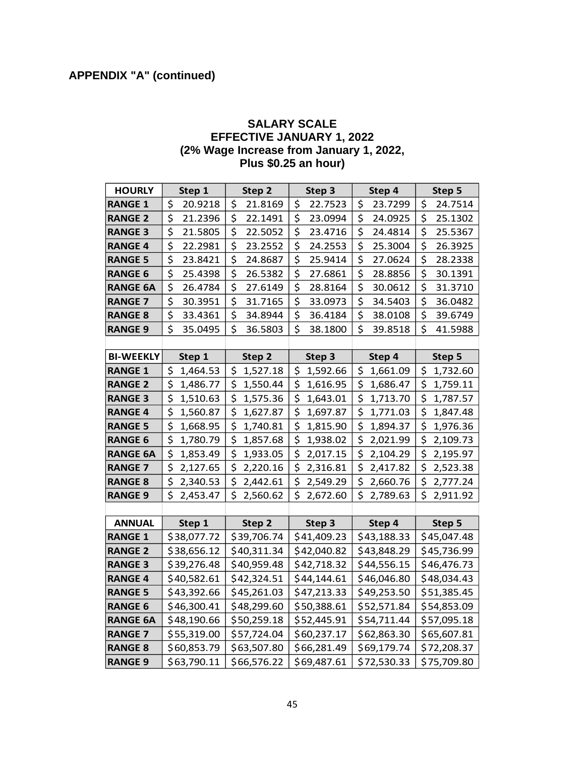#### **SALARY SCALE EFFECTIVE JANUARY 1, 2022 (2% Wage Increase from January 1, 2022, Plus \$0.25 an hour)**

| <b>HOURLY</b>    | Step 1      | Step 2      | Step 3      | Step 4      | Step 5      |
|------------------|-------------|-------------|-------------|-------------|-------------|
| <b>RANGE 1</b>   | \$          | \$          | \$          | \$          | \$          |
|                  | 20.9218     | 21.8169     | 22.7523     | 23.7299     | 24.7514     |
| <b>RANGE 2</b>   | \$          | \$          | \$          | \$          | \$          |
|                  | 21.2396     | 22.1491     | 23.0994     | 24.0925     | 25.1302     |
| <b>RANGE 3</b>   | \$          | \$          | \$          | \$          | \$          |
|                  | 21.5805     | 22.5052     | 23.4716     | 24.4814     | 25.5367     |
| <b>RANGE 4</b>   | \$          | \$          | \$          | \$          | \$          |
|                  | 22.2981     | 23.2552     | 24.2553     | 25.3004     | 26.3925     |
| <b>RANGE 5</b>   | \$          | \$          | \$          | \$          | \$          |
|                  | 23.8421     | 24.8687     | 25.9414     | 27.0624     | 28.2338     |
| <b>RANGE 6</b>   | \$          | \$          | \$          | \$          | \$          |
|                  | 25.4398     | 26.5382     | 27.6861     | 28.8856     | 30.1391     |
| <b>RANGE 6A</b>  | \$          | \$          | \$          | \$          | \$          |
|                  | 26.4784     | 27.6149     | 28.8164     | 30.0612     | 31.3710     |
| <b>RANGE 7</b>   | \$          | \$          | \$          | \$          | \$          |
|                  | 30.3951     | 31.7165     | 33.0973     | 34.5403     | 36.0482     |
| <b>RANGE 8</b>   | \$          | \$          | \$          | \$          | \$          |
|                  | 33.4361     | 34.8944     | 36.4184     | 38.0108     | 39.6749     |
| <b>RANGE 9</b>   | \$          | \$          | \$          | \$          | \$          |
|                  | 35.0495     | 36.5803     | 38.1800     | 39.8518     | 41.5988     |
|                  |             |             |             |             |             |
| <b>BI-WEEKLY</b> | Step 1      | Step 2      | Step 3      | Step 4      | Step 5      |
| <b>RANGE 1</b>   | \$          | \$          | \$          | \$          | \$          |
|                  | 1,464.53    | 1,527.18    | 1,592.66    | 1,661.09    | 1,732.60    |
| <b>RANGE 2</b>   | \$          | \$          | \$          | \$          | \$          |
|                  | 1,486.77    | 1,550.44    | 1,616.95    | 1,686.47    | 1,759.11    |
| <b>RANGE 3</b>   | \$          | \$          | \$          | \$          | \$          |
|                  | 1,510.63    | 1,575.36    | 1,643.01    | 1,713.70    | 1,787.57    |
| <b>RANGE 4</b>   | \$          | \$          | \$          | \$          | \$          |
|                  | 1,560.87    | 1,627.87    | 1,697.87    | 1,771.03    | 1,847.48    |
| <b>RANGE 5</b>   | \$          | \$          | \$          | \$          | \$          |
|                  | 1,668.95    | 1,740.81    | 1,815.90    | 1,894.37    | 1,976.36    |
| <b>RANGE 6</b>   | \$          | \$          | \$          | \$          | \$          |
|                  | 1,780.79    | 1,857.68    | 1,938.02    | 2,021.99    | 2,109.73    |
| <b>RANGE 6A</b>  | \$          | \$          | \$          | \$          | \$          |
|                  | 1,853.49    | 1,933.05    | 2,017.15    | 2,104.29    | 2,195.97    |
| <b>RANGE 7</b>   | \$          | \$          | \$          | \$          | \$          |
|                  | 2,127.65    | 2,220.16    | 2,316.81    | 2,417.82    | 2,523.38    |
| <b>RANGE 8</b>   | \$          | \$          | \$          | \$          | \$          |
|                  | 2,340.53    | 2,442.61    | 2,549.29    | 2,660.76    | 2,777.24    |
| <b>RANGE 9</b>   | \$          | \$          | \$          | \$          | \$          |
|                  | 2,453.47    | 2,560.62    | 2,672.60    | 2,789.63    | 2,911.92    |
|                  |             |             |             |             |             |
| <b>ANNUAL</b>    | Step 1      | Step 2      | Step 3      | Step 4      | Step 5      |
| <b>RANGE 1</b>   | \$38,077.72 | \$39,706.74 | \$41,409.23 | \$43,188.33 | \$45,047.48 |
| <b>RANGE 2</b>   | \$38,656.12 | \$40,311.34 | \$42,040.82 | \$43,848.29 | \$45,736.99 |
| <b>RANGE 3</b>   | \$39,276.48 | \$40,959.48 | \$42,718.32 | \$44,556.15 | \$46,476.73 |
| <b>RANGE 4</b>   | \$40,582.61 | \$42,324.51 | \$44,144.61 | \$46,046.80 | \$48,034.43 |
| <b>RANGE 5</b>   | \$43,392.66 | \$45,261.03 | \$47,213.33 | \$49,253.50 | \$51,385.45 |
| <b>RANGE 6</b>   | \$46,300.41 | \$48,299.60 | \$50,388.61 | \$52,571.84 | \$54,853.09 |
| <b>RANGE 6A</b>  | \$48,190.66 | \$50,259.18 | \$52,445.91 | \$54,711.44 | \$57,095.18 |
| <b>RANGE 7</b>   | \$55,319.00 | \$57,724.04 | \$60,237.17 | \$62,863.30 | \$65,607.81 |
| <b>RANGE 8</b>   | \$60,853.79 | \$63,507.80 | \$66,281.49 | \$69,179.74 | \$72,208.37 |
| <b>RANGE 9</b>   | \$63,790.11 | \$66,576.22 | \$69,487.61 | \$72,530.33 | \$75,709.80 |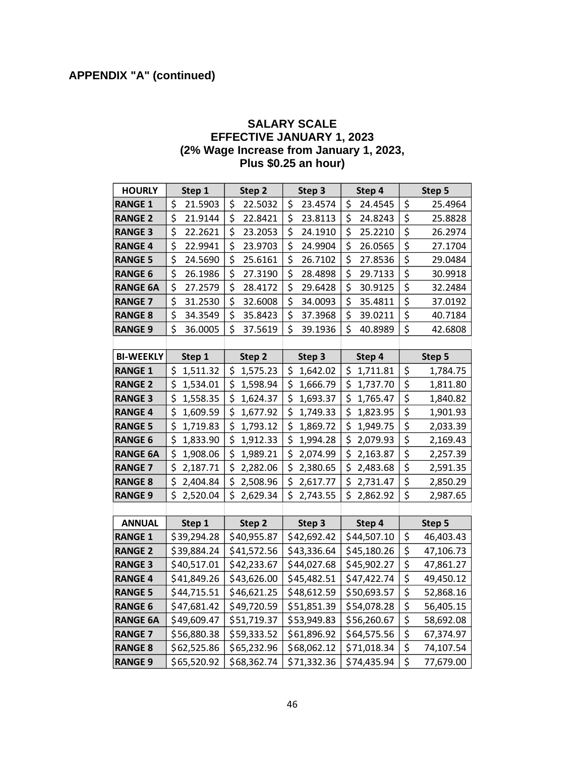#### **SALARY SCALE EFFECTIVE JANUARY 1, 2023 (2% Wage Increase from January 1, 2023, Plus \$0.25 an hour)**

| <b>HOURLY</b>    | Step 1      | Step 2      | Step 3      | Step 4      | Step 5                                       |
|------------------|-------------|-------------|-------------|-------------|----------------------------------------------|
| <b>RANGE 1</b>   | \$          | \$          | \$          | \$          | \$                                           |
|                  | 21.5903     | 22.5032     | 23.4574     | 24.4545     | 25.4964                                      |
| <b>RANGE 2</b>   | \$          | \$          | \$          | \$          | \$                                           |
|                  | 21.9144     | 22.8421     | 23.8113     | 24.8243     | 25.8828                                      |
| <b>RANGE 3</b>   | \$          | \$          | \$          | \$          | \$                                           |
|                  | 22.2621     | 23.2053     | 24.1910     | 25.2210     | 26.2974                                      |
| <b>RANGE 4</b>   | \$          | \$          | \$          | \$          | \$                                           |
|                  | 22.9941     | 23.9703     | 24.9904     | 26.0565     | 27.1704                                      |
| <b>RANGE 5</b>   | \$          | \$          | \$          | \$          | \$                                           |
|                  | 24.5690     | 25.6161     | 26.7102     | 27.8536     | 29.0484                                      |
| <b>RANGE 6</b>   | \$          | \$          | \$          | \$          | \$                                           |
|                  | 26.1986     | 27.3190     | 28.4898     | 29.7133     | 30.9918                                      |
| <b>RANGE 6A</b>  | \$          | \$          | \$          | \$          | \$                                           |
|                  | 27.2579     | 28.4172     | 29.6428     | 30.9125     | 32.2484                                      |
| <b>RANGE 7</b>   | \$          | \$          | \$          | \$          | \$                                           |
|                  | 31.2530     | 32.6008     | 34.0093     | 35.4811     | 37.0192                                      |
| <b>RANGE 8</b>   | \$          | \$          | \$          | \$          | \$                                           |
|                  | 34.3549     | 35.8423     | 37.3968     | 39.0211     | 40.7184                                      |
| <b>RANGE 9</b>   | \$          | \$          | \$          | \$          | \$                                           |
|                  | 36.0005     | 37.5619     | 39.1936     | 40.8989     | 42.6808                                      |
|                  |             |             |             |             |                                              |
| <b>BI-WEEKLY</b> | Step 1      | Step 2      | Step 3      | Step 4      | Step 5                                       |
| <b>RANGE 1</b>   | \$          | \$          | \$          | \$          | \$                                           |
|                  | 1,511.32    | 1,575.23    | 1,642.02    | 1,711.81    | 1,784.75                                     |
| <b>RANGE 2</b>   | \$          | \$          | \$          | \$          | \$                                           |
|                  | 1,534.01    | 1,598.94    | 1,666.79    | 1,737.70    | 1,811.80                                     |
| <b>RANGE 3</b>   | \$          | \$          | \$          | \$          | \$                                           |
|                  | 1,558.35    | 1,624.37    | 1,693.37    | 1,765.47    | 1,840.82                                     |
| <b>RANGE 4</b>   | \$          | \$          | \$          | \$          | \$                                           |
|                  | 1,609.59    | 1,677.92    | 1,749.33    | 1,823.95    | 1,901.93                                     |
| <b>RANGE 5</b>   | \$          | \$          | \$          | \$          | \$                                           |
|                  | 1,719.83    | 1,793.12    | 1,869.72    | 1,949.75    | 2,033.39                                     |
| <b>RANGE 6</b>   | \$          | \$          | \$          | \$          | \$                                           |
|                  | 1,833.90    | 1,912.33    | 1,994.28    | 2,079.93    | 2,169.43                                     |
| <b>RANGE 6A</b>  | \$          | \$          | \$          | \$          | \$                                           |
|                  | 1,908.06    | 1,989.21    | 2,074.99    | 2,163.87    | 2,257.39                                     |
| <b>RANGE 7</b>   | \$          | \$          | \$          | \$          | \$                                           |
|                  | 2,187.71    | 2,282.06    | 2,380.65    | 2,483.68    | 2,591.35                                     |
| <b>RANGE 8</b>   | \$          | \$          | \$          | \$          | \$                                           |
|                  | 2,404.84    | 2,508.96    | 2,617.77    | 2,731.47    | 2,850.29                                     |
| <b>RANGE 9</b>   | \$          | \$          | \$          | \$          | \$                                           |
|                  | 2,520.04    | 2,629.34    | 2,743.55    | 2,862.92    | 2,987.65                                     |
|                  |             |             |             |             |                                              |
| <b>ANNUAL</b>    | Step 1      | Step 2      | Step 3      | Step 4      | Step 5                                       |
| <b>RANGE 1</b>   | \$39,294.28 | \$40,955.87 | \$42,692.42 | \$44,507.10 | \$<br>46,403.43                              |
| <b>RANGE 2</b>   | \$39,884.24 | \$41,572.56 | \$43,336.64 | \$45,180.26 | \$<br>47,106.73                              |
| <b>RANGE 3</b>   | \$40,517.01 | \$42,233.67 | \$44,027.68 | \$45,902.27 | \$<br>47,861.27                              |
| <b>RANGE 4</b>   | \$41,849.26 | \$43,626.00 | \$45,482.51 | \$47,422.74 | \$<br>49,450.12                              |
| <b>RANGE 5</b>   | \$44,715.51 | \$46,621.25 | \$48,612.59 | \$50,693.57 | \$<br>52,868.16                              |
| <b>RANGE 6</b>   | \$47,681.42 | \$49,720.59 | \$51,851.39 | \$54,078.28 | \$<br>56,405.15                              |
| <b>RANGE 6A</b>  | \$49,609.47 | \$51,719.37 | \$53,949.83 | \$56,260.67 | $\overline{\boldsymbol{\zeta}}$<br>58,692.08 |
| <b>RANGE 7</b>   | \$56,880.38 | \$59,333.52 | \$61,896.92 | \$64,575.56 | \$<br>67,374.97                              |
| <b>RANGE 8</b>   | \$62,525.86 | \$65,232.96 | \$68,062.12 | \$71,018.34 | \$<br>74,107.54                              |
| <b>RANGE 9</b>   | \$65,520.92 | \$68,362.74 | \$71,332.36 | \$74,435.94 | \$<br>77,679.00                              |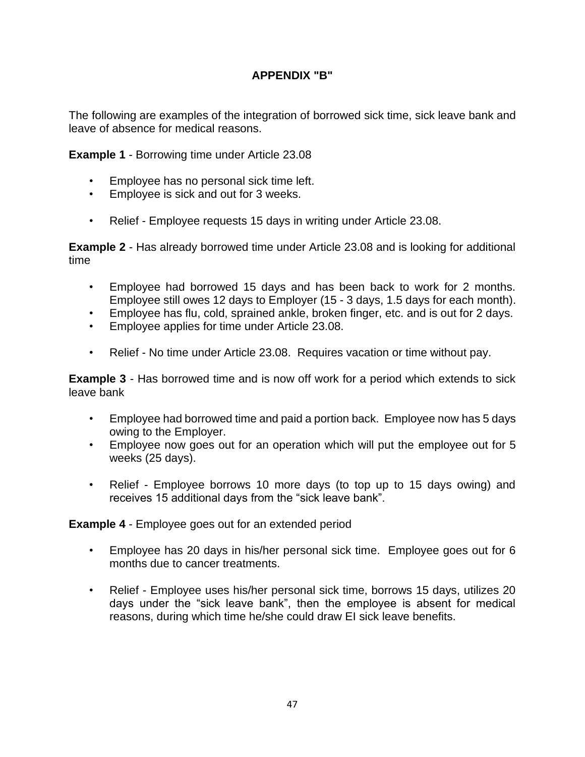## **APPENDIX "B"**

<span id="page-49-0"></span>The following are examples of the integration of borrowed sick time, sick leave bank and leave of absence for medical reasons.

**Example 1** - Borrowing time under Article 23.08

- Employee has no personal sick time left.
- Employee is sick and out for 3 weeks.
- Relief Employee requests 15 days in writing under Article 23.08.

**Example 2** - Has already borrowed time under Article 23.08 and is looking for additional time

- Employee had borrowed 15 days and has been back to work for 2 months. Employee still owes 12 days to Employer (15 - 3 days, 1.5 days for each month).
- Employee has flu, cold, sprained ankle, broken finger, etc. and is out for 2 days.
- Employee applies for time under Article 23.08.
- Relief No time under Article 23.08. Requires vacation or time without pay.

**Example 3** - Has borrowed time and is now off work for a period which extends to sick leave bank

- Employee had borrowed time and paid a portion back. Employee now has 5 days owing to the Employer.
- Employee now goes out for an operation which will put the employee out for 5 weeks (25 days).
- Relief Employee borrows 10 more days (to top up to 15 days owing) and receives 15 additional days from the "sick leave bank".

**Example 4** - Employee goes out for an extended period

- Employee has 20 days in his/her personal sick time. Employee goes out for 6 months due to cancer treatments.
- Relief Employee uses his/her personal sick time, borrows 15 days, utilizes 20 days under the "sick leave bank", then the employee is absent for medical reasons, during which time he/she could draw EI sick leave benefits.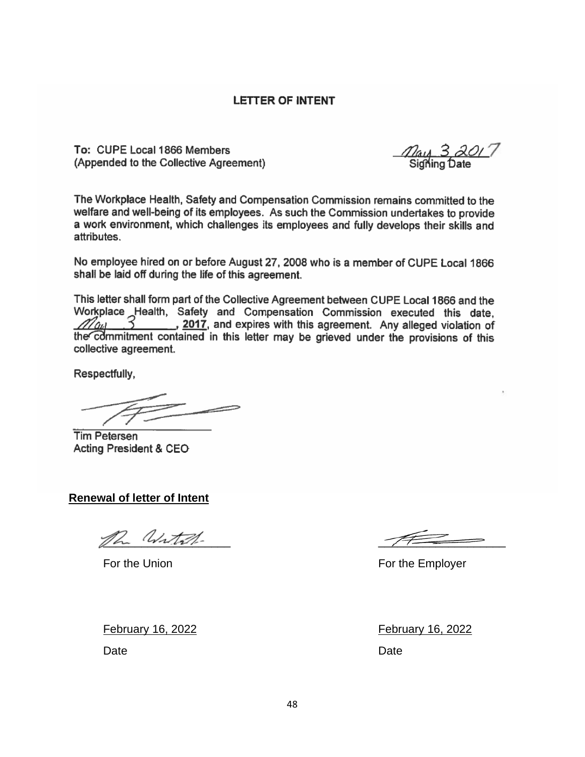#### **LETTER OF INTENT**

To: CUPE Local 1866 Members (Appended to the Collective Agreement)

<u>7⁄au 3 ác</u><br>Signing Date

The Workplace Health, Safety and Compensation Commission remains committed to the welfare and well-being of its employees. As such the Commission undertakes to provide a work environment, which challenges its employees and fully develops their skills and attributes.

No employee hired on or before August 27, 2008 who is a member of CUPE Local 1866 shall be laid off during the life of this agreement.

This letter shall form part of the Collective Agreement between CUPE Local 1866 and the Workplace Health, Safety and Compensation Commission executed this date.  $\beta$  , 2017, and expires with this agreement. Any alleged violation of  $Z_{\ell n\ell}$ the commitment contained in this letter may be grieved under the provisions of this collective agreement.

Respectfully,

**Tim Petersen** Acting President & CEO

**Renewal of letter of Intent**

ph Witch-

For the Union For the Employer

February 16, 2022 February 16, 2022

Date **Date Date Date Date Date Date** 

48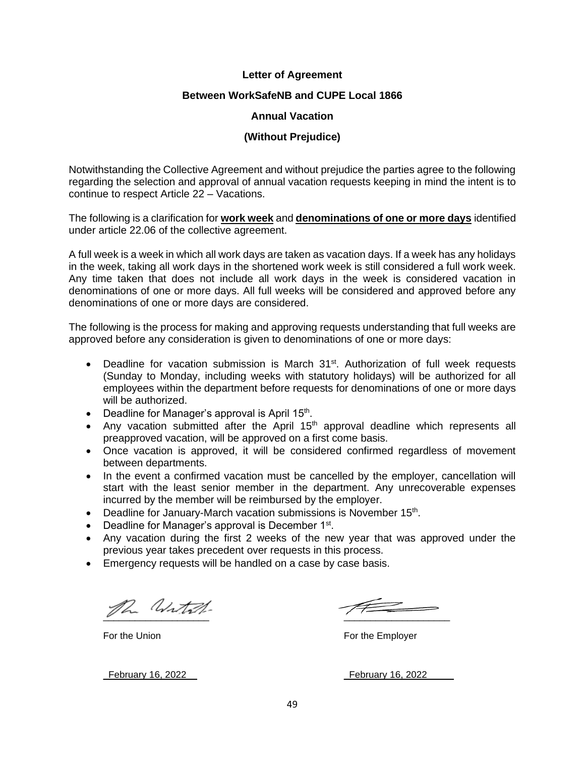#### **Letter of Agreement**

#### **Between WorkSafeNB and CUPE Local 1866**

#### **Annual Vacation**

#### **(Without Prejudice)**

Notwithstanding the Collective Agreement and without prejudice the parties agree to the following regarding the selection and approval of annual vacation requests keeping in mind the intent is to continue to respect Article 22 – Vacations.

The following is a clarification for **work week** and **denominations of one or more days** identified under article 22.06 of the collective agreement.

A full week is a week in which all work days are taken as vacation days. If a week has any holidays in the week, taking all work days in the shortened work week is still considered a full work week. Any time taken that does not include all work days in the week is considered vacation in denominations of one or more days. All full weeks will be considered and approved before any denominations of one or more days are considered.

The following is the process for making and approving requests understanding that full weeks are approved before any consideration is given to denominations of one or more days:

- Deadline for vacation submission is March  $31<sup>st</sup>$ . Authorization of full week requests (Sunday to Monday, including weeks with statutory holidays) will be authorized for all employees within the department before requests for denominations of one or more days will be authorized.
- Deadline for Manager's approval is April 15<sup>th</sup>.
- Any vacation submitted after the April  $15<sup>th</sup>$  approval deadline which represents all preapproved vacation, will be approved on a first come basis.
- Once vacation is approved, it will be considered confirmed regardless of movement between departments.
- In the event a confirmed vacation must be cancelled by the employer, cancellation will start with the least senior member in the department. Any unrecoverable expenses incurred by the member will be reimbursed by the employer.
- Deadline for January-March vacation submissions is November 15<sup>th</sup>.
- Deadline for Manager's approval is December 1<sup>st</sup>.
- Any vacation during the first 2 weeks of the new year that was approved under the previous year takes precedent over requests in this process.
- Emergency requests will be handled on a case by case basis.

ph With

For the Union **For the Employer** 

\_February 16, 2022\_\_ \_February 16, 2022\_\_\_\_\_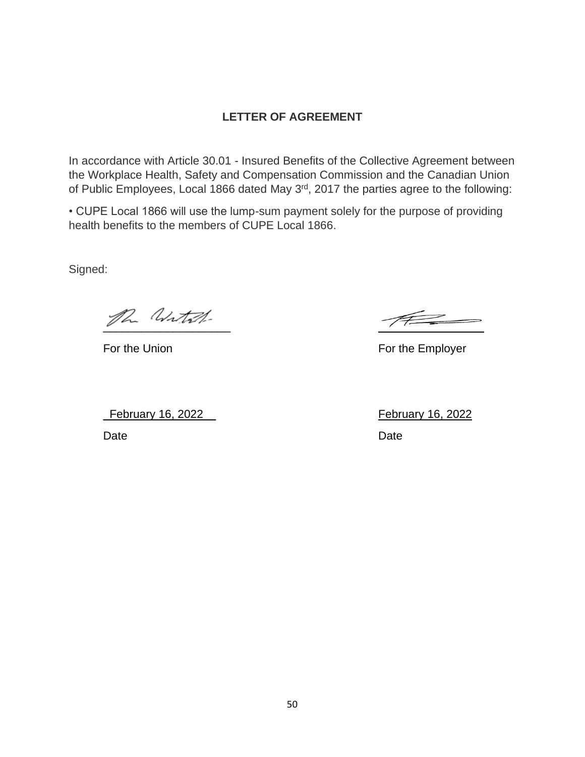## **LETTER OF AGREEMENT**

In accordance with Article 30.01 - Insured Benefits of the Collective Agreement between the Workplace Health, Safety and Compensation Commission and the Canadian Union of Public Employees, Local 1866 dated May 3rd, 2017 the parties agree to the following:

• CUPE Local 1866 will use the lump-sum payment solely for the purpose of providing health benefits to the members of CUPE Local 1866.

Signed:

the With

\_February 16, 2022\_\_ February 16, 2022

For the Union For the Employer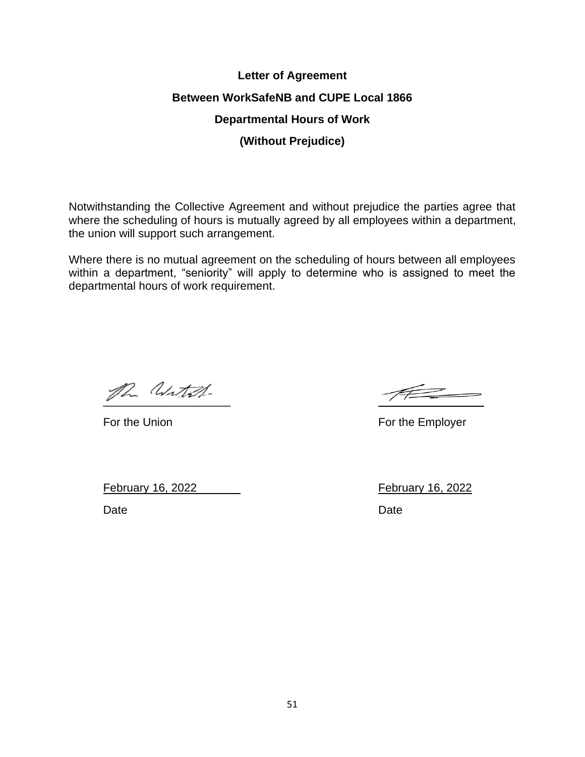# **Letter of Agreement Between WorkSafeNB and CUPE Local 1866 Departmental Hours of Work (Without Prejudice)**

Notwithstanding the Collective Agreement and without prejudice the parties agree that where the scheduling of hours is mutually agreed by all employees within a department, the union will support such arrangement.

Where there is no mutual agreement on the scheduling of hours between all employees within a department, "seniority" will apply to determine who is assigned to meet the departmental hours of work requirement.

the With

 $#$ 

For the Union For the Employer

February 16, 2022 February 16, 2022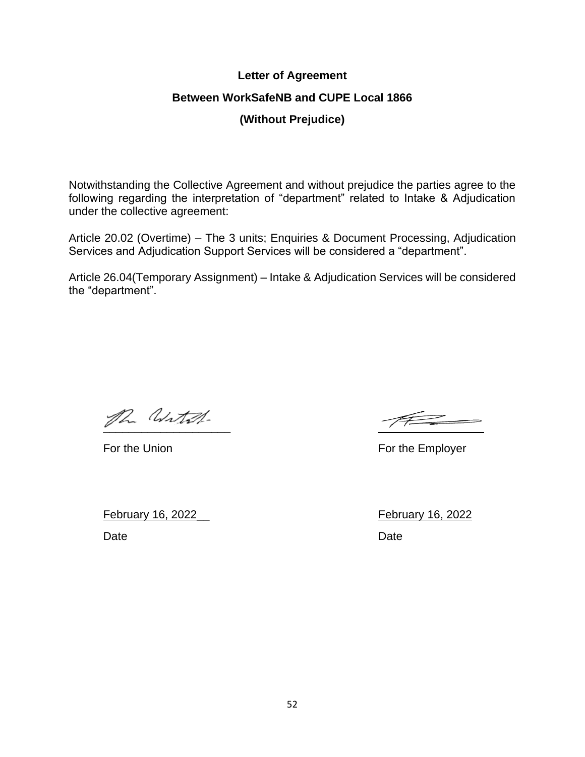#### **Letter of Agreement**

#### **Between WorkSafeNB and CUPE Local 1866**

## **(Without Prejudice)**

Notwithstanding the Collective Agreement and without prejudice the parties agree to the following regarding the interpretation of "department" related to Intake & Adjudication under the collective agreement:

Article 20.02 (Overtime) – The 3 units; Enquiries & Document Processing, Adjudication Services and Adjudication Support Services will be considered a "department".

Article 26.04(Temporary Assignment) – Intake & Adjudication Services will be considered the "department".

ph Witch.

February 16, 2022\_\_ February 16, 2022 Date **Date Date Date Date Date Date** 

For the Union For the Employer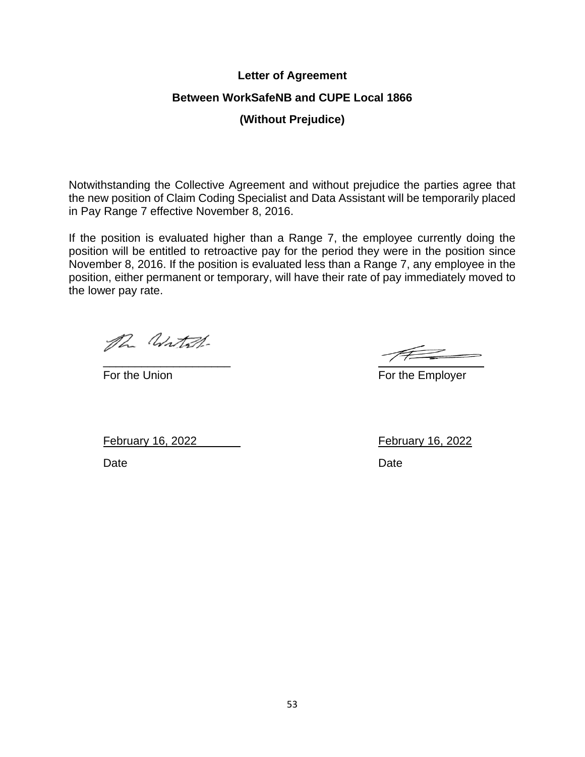#### **Letter of Agreement**

#### **Between WorkSafeNB and CUPE Local 1866**

**(Without Prejudice)**

Notwithstanding the Collective Agreement and without prejudice the parties agree that the new position of Claim Coding Specialist and Data Assistant will be temporarily placed in Pay Range 7 effective November 8, 2016.

If the position is evaluated higher than a Range 7, the employee currently doing the position will be entitled to retroactive pay for the period they were in the position since November 8, 2016. If the position is evaluated less than a Range 7, any employee in the position, either permanent or temporary, will have their rate of pay immediately moved to the lower pay rate.

The Witch-

\_\_\_\_\_\_\_\_\_\_\_\_\_\_\_\_\_\_\_\_

For the Union For the Employer

February 16, 2022\_\_ February 16, 2022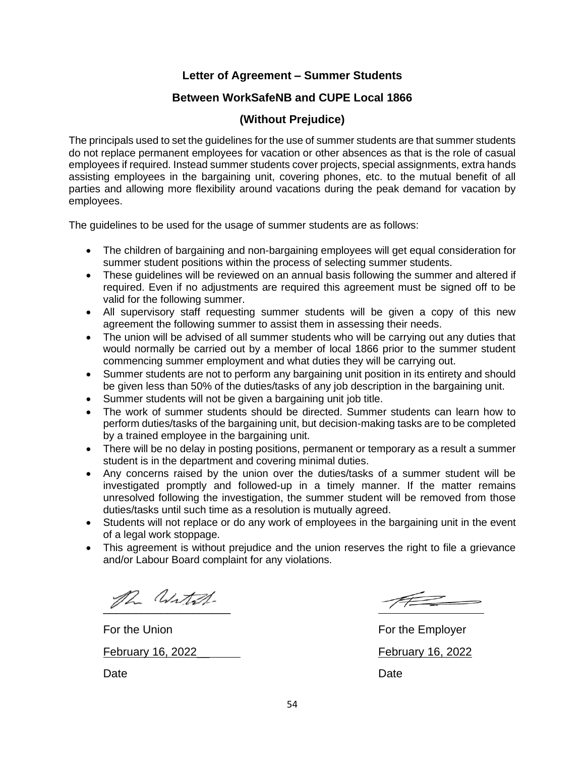#### **Letter of Agreement – Summer Students**

#### **Between WorkSafeNB and CUPE Local 1866**

#### **(Without Prejudice)**

The principals used to set the guidelines for the use of summer students are that summer students do not replace permanent employees for vacation or other absences as that is the role of casual employees if required. Instead summer students cover projects, special assignments, extra hands assisting employees in the bargaining unit, covering phones, etc. to the mutual benefit of all parties and allowing more flexibility around vacations during the peak demand for vacation by employees.

The guidelines to be used for the usage of summer students are as follows:

- The children of bargaining and non-bargaining employees will get equal consideration for summer student positions within the process of selecting summer students.
- These guidelines will be reviewed on an annual basis following the summer and altered if required. Even if no adjustments are required this agreement must be signed off to be valid for the following summer.
- All supervisory staff requesting summer students will be given a copy of this new agreement the following summer to assist them in assessing their needs.
- The union will be advised of all summer students who will be carrying out any duties that would normally be carried out by a member of local 1866 prior to the summer student commencing summer employment and what duties they will be carrying out.
- Summer students are not to perform any bargaining unit position in its entirety and should be given less than 50% of the duties/tasks of any job description in the bargaining unit.
- Summer students will not be given a bargaining unit job title.
- The work of summer students should be directed. Summer students can learn how to perform duties/tasks of the bargaining unit, but decision-making tasks are to be completed by a trained employee in the bargaining unit.
- There will be no delay in posting positions, permanent or temporary as a result a summer student is in the department and covering minimal duties.
- Any concerns raised by the union over the duties/tasks of a summer student will be investigated promptly and followed-up in a timely manner. If the matter remains unresolved following the investigation, the summer student will be removed from those duties/tasks until such time as a resolution is mutually agreed.
- Students will not replace or do any work of employees in the bargaining unit in the event of a legal work stoppage.
- This agreement is without prejudice and the union reserves the right to file a grievance and/or Labour Board complaint for any violations.

ph With

February 16, 2022\_\_ February 16, 2022

For the Union For the Employer